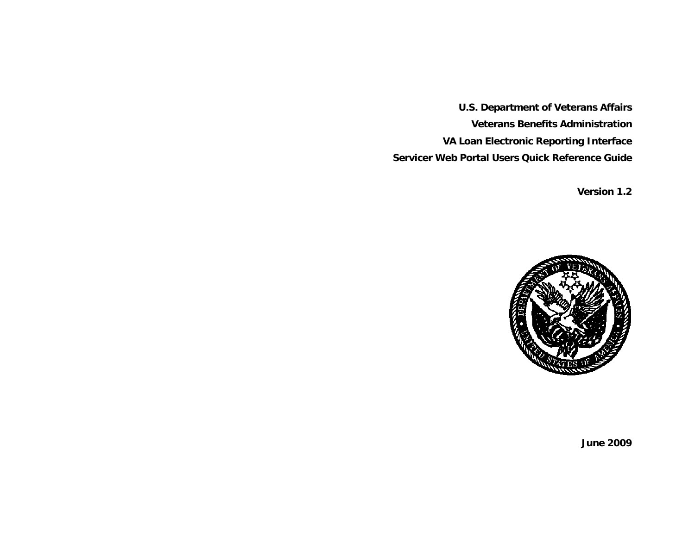**U.S. Department of Veterans Affairs Veterans Benefits Administration VA Loan Electronic Reporting Interface Servicer Web Portal Users Quick Reference Guide** 

 **Version 1.2** 



**June 2009**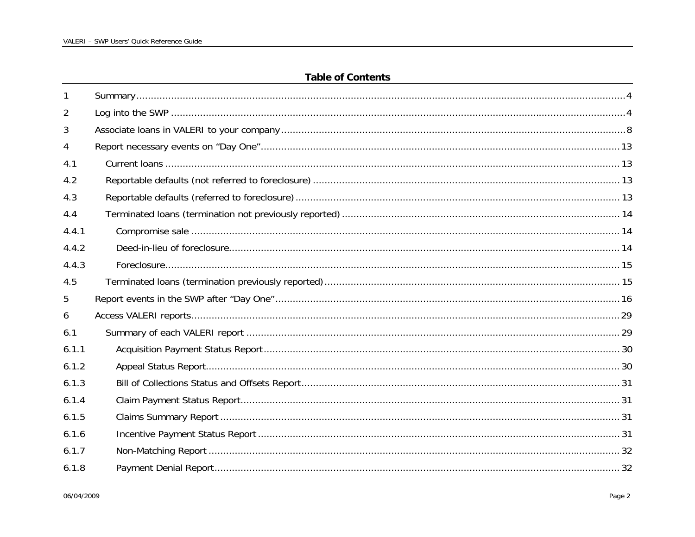## **Table of Contents**

| -1    |  |
|-------|--|
| 2     |  |
| 3     |  |
| 4     |  |
| 4.1   |  |
| 4.2   |  |
| 4.3   |  |
| 4.4   |  |
| 4.4.1 |  |
| 4.4.2 |  |
| 4.4.3 |  |
| 4.5   |  |
| 5     |  |
| 6     |  |
| 6.1   |  |
| 6.1.1 |  |
| 6.1.2 |  |
| 6.1.3 |  |
| 6.1.4 |  |
| 6.1.5 |  |
| 6.1.6 |  |
| 6.1.7 |  |
| 6.1.8 |  |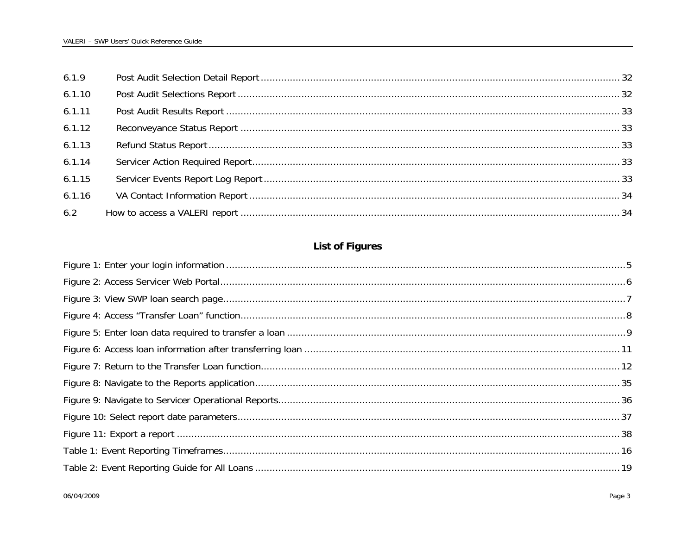| 6.1.9  |  |
|--------|--|
| 6.1.10 |  |
| 6.1.11 |  |
| 6.1.12 |  |
| 6.1.13 |  |
| 6.1.14 |  |
| 6.1.15 |  |
| 6.1.16 |  |
| 6.2    |  |

## **List of Figures**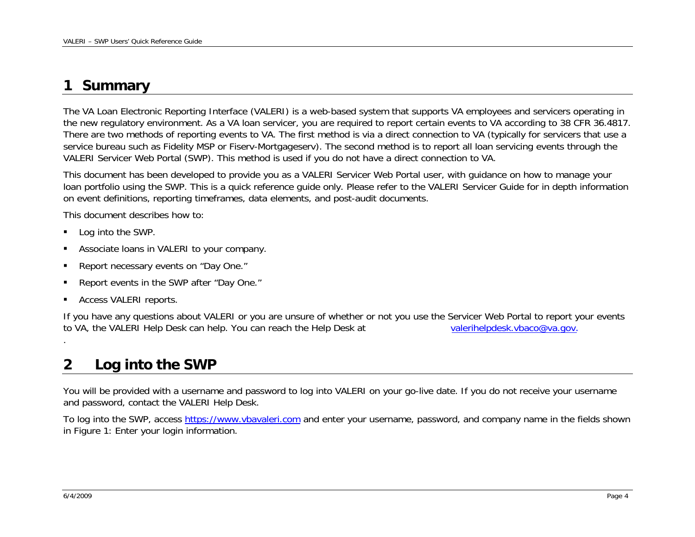### <span id="page-3-0"></span>**1Summary**

The VA Loan Electronic Reporting Interface (VALERI) is a web-based system that supports VA employees and servicers operating in the new regulatory environment. As a VA loan servicer, you are required to report certain events to VA according to 38 CFR 36.4817. There are two methods of reporting events to VA. The first method is via a direct connection to VA (typically for servicers that use a service bureau such as Fidelity MSP or Fiserv-Mortgageserv). The second method is to report all loan servicing events through the VALERI Servicer Web Portal (SWP). This method is used if you do not have a direct connection to VA.

This document has been developed to provide you as a VALERI Servicer Web Portal user, with guidance on how to manage your loan portfolio using the SWP. This is a quick reference guide only. Please refer to the VALERI Servicer Guide for in depth information on event definitions, reporting timeframes, data elements, and post-audit documents.

This document describes how to:

- Log into the SWP.
- Associate loans in VALERI to your company.
- Report necessary events on "Day One."
- Report events in the SWP after "Day One."
- Access VALERI reports.

If you have any questions about VALERI or you are unsure of whether or not you use the Servicer Web Portal to report your events to VA, the VALERI Help Desk can help. You can reach the Help Desk at valerihelpdesk.vbaco@va.gov.

### **2Log into the SWP**

You will be provided with a username and password to log into VALERI on your go-live date. If you do not receive your username and password, contact the VALERI Help Desk.

To log into the SWP, acces[s https://www.vbavaleri.com](https://www.vbavaleri.com/) and enter your username, password, and company name in the fields shown in [Figure 1: Enter your login information](#page-4-1).

.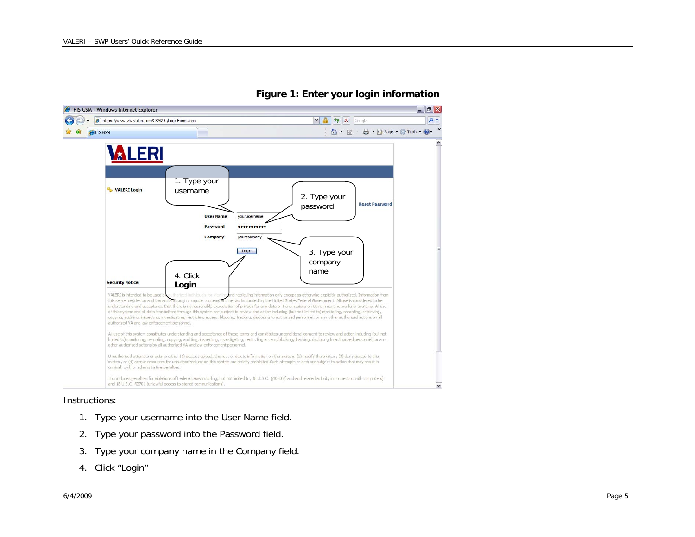<span id="page-4-1"></span><span id="page-4-0"></span>

## **Figure 1: Enter your login information**

### Instructions:

- 1. Type your username into the User Name field.
- 2. Type your password into the Password field.
- 3. Type your company name in the Company field.
- 4. Click "Login"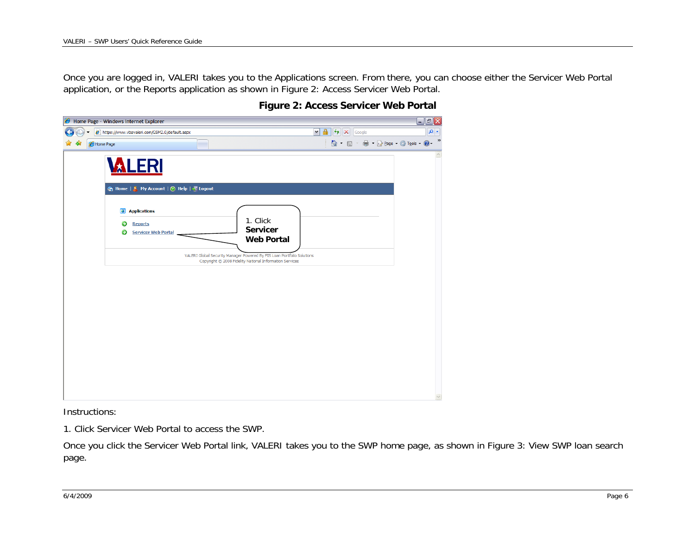<span id="page-5-0"></span>Once you are logged in, VALERI takes you to the Applications screen. From there, you can choose either the Servicer Web Portal application, or the Reports application as shown in Figure 2: Access Servicer Web Portal.

|           | Home Page - Windows Internet Explorer                                            |                                                                                                                            |                                                               | $\mathbf{F}[\mathbf{X}]$<br>لم |
|-----------|----------------------------------------------------------------------------------|----------------------------------------------------------------------------------------------------------------------------|---------------------------------------------------------------|--------------------------------|
|           | https://www.vbavaleri.com/GSM2.0/default.aspx                                    |                                                                                                                            | $\mathbf{v}$ $\mathbf{a}$ $\mathbf{v}$ $\mathbf{x}$<br>Google | $\alpha$                       |
| Home Page |                                                                                  |                                                                                                                            | <b>合 回 画 回</b> Bege で C Tools (                               | $\rightarrow$                  |
|           | <b>VALERI</b><br>n Home   <b>A</b> My Account   2 Help   K Logout                |                                                                                                                            |                                                               | $\curvearrowright$             |
|           | <b>Applications</b><br>$\bullet$<br><b>Reports</b><br><b>Servicer Web Portal</b> | 1. Click<br><b>Servicer</b><br><b>Web Portal</b><br>VALERI Global Security Manager Powered By FIS Loan Portfolio Solutions |                                                               |                                |
|           |                                                                                  | Copyright © 2008 Fidelity National Information Services                                                                    |                                                               |                                |
|           |                                                                                  |                                                                                                                            |                                                               |                                |
|           |                                                                                  |                                                                                                                            |                                                               |                                |
|           |                                                                                  |                                                                                                                            |                                                               |                                |
|           |                                                                                  |                                                                                                                            |                                                               |                                |

## **Figure 2: Access Servicer Web Portal**

Instructions:

1. Click Servicer Web Portal to access the SWP.

Once you click the Servicer Web Portal link, VALERI takes you to the SWP home page, as shown in Figure 3: View SWP loan search page.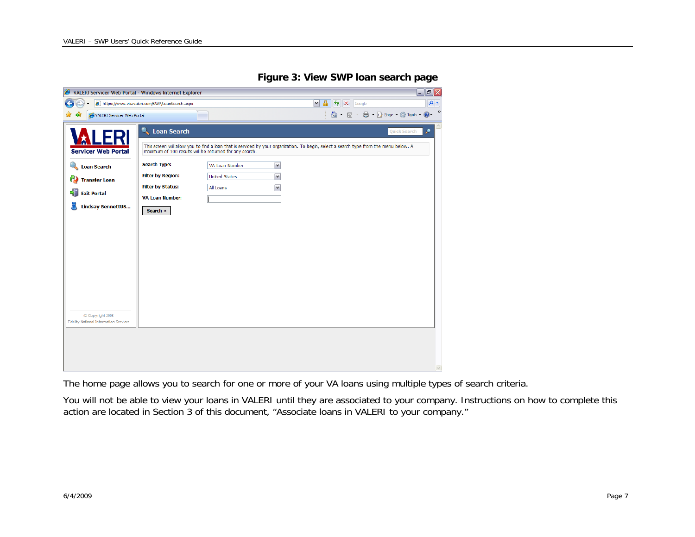**Figure 3: View SWP loan search page** 

<span id="page-6-0"></span>

| $\alpha$<br>$\mathbf{a}$<br>$+$ $\times$<br>https://www.vbavaleri.com/SWP/LoanSearch.aspx<br>$\blacktriangledown$<br>Google<br>$\rightarrow$<br>■ · ☆ Page · ◎ Tools · ●<br>$\cap$ a<br>VALERI Servicer Web Portal<br>$\mathcal{A}^{\mu\nu}$<br><b>Loan Search</b><br>٩<br><b>Quick Search</b><br>u<br>E<br>This screen will allow you to find a loan that is serviced by your organization. To begin, select a search type from the menu below. A<br><b>Servicer Web Portal</b><br>maximum of 100 results will be returned for any search.<br><b>Search Type:</b><br><b>Q</b> Loan Search<br>VA Loan Number<br>$\blacktriangledown$<br><b>Filter by Region:</b><br><b>United States</b><br>$\blacktriangledown$<br><b>B</b> Transfer Loan<br><b>Filter by Status:</b><br>$\blacktriangledown$<br>All Loans<br>-11<br><b>Exit Portal</b><br><b>VA Loan Number:</b><br><b>Lindsay BennettUS</b><br>Search »<br>C Copyright 2008<br>Fidelity National Information Services | VALERI Servicer Web Portal - Windows Internet Explorer |  |  | 回区<br>$-1$ |
|--------------------------------------------------------------------------------------------------------------------------------------------------------------------------------------------------------------------------------------------------------------------------------------------------------------------------------------------------------------------------------------------------------------------------------------------------------------------------------------------------------------------------------------------------------------------------------------------------------------------------------------------------------------------------------------------------------------------------------------------------------------------------------------------------------------------------------------------------------------------------------------------------------------------------------------------------------------------------|--------------------------------------------------------|--|--|------------|
|                                                                                                                                                                                                                                                                                                                                                                                                                                                                                                                                                                                                                                                                                                                                                                                                                                                                                                                                                                          |                                                        |  |  |            |
|                                                                                                                                                                                                                                                                                                                                                                                                                                                                                                                                                                                                                                                                                                                                                                                                                                                                                                                                                                          |                                                        |  |  |            |
|                                                                                                                                                                                                                                                                                                                                                                                                                                                                                                                                                                                                                                                                                                                                                                                                                                                                                                                                                                          |                                                        |  |  |            |

The home page allows you to search for one or more of your VA loans using multiple types of search criteria.

You will not be able to view your loans in VALERI until they are associated to your company. Instructions on how to complete this action are located in Section 3 of this document, "Associate loans in VALERI to your company."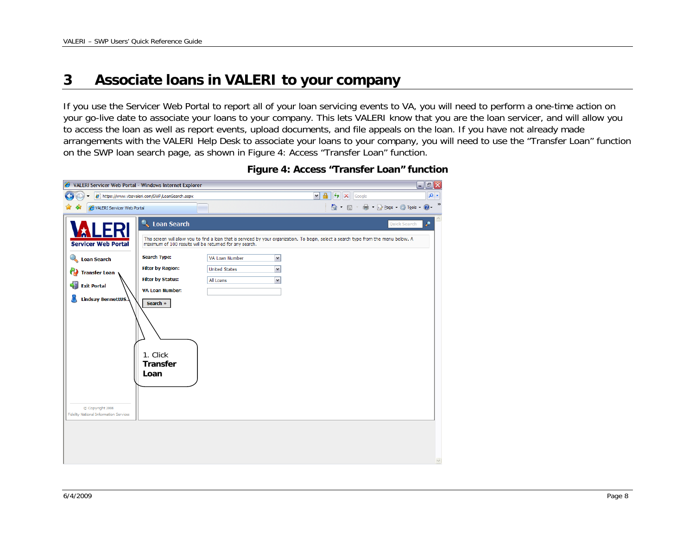### <span id="page-7-0"></span>**3Associate loans in VALERI to your company**

If you use the Servicer Web Portal to report all of your loan servicing events to VA, you will need to perform a one-time action on your go-live date to associate your loans to your company. This lets VALERI know that you are the loan servicer, and will allow you to access the loan as well as report events, upload documents, and file appeals on the loan. If you have not already made arrangements with the VALERI Help Desk to associate your loans to your company, you will need to use the "Transfer Loan" function on the SWP loan search page, as shown in [Figure 4: Access "Transfer Loan" function](#page-7-1).

<span id="page-7-1"></span>

| $\mathbf{v}$ $\mathbf{r}$<br>$+$ $\times$<br>e https://www.vbavaleri.com/SWP/LoanSearch.aspx<br>Google<br>■ · · · · Page · ◎ Tools · ② ·<br>$\wedge$ $\Box$<br>$\mathbf{v}$<br>VALERI Servicer Web Portal<br><b>Q</b> , Loan Search<br>۹<br><b>Quick Search</b><br>LERI                                                                                                                                                                                                                                                                                                                                                                                                                                   |               |
|-----------------------------------------------------------------------------------------------------------------------------------------------------------------------------------------------------------------------------------------------------------------------------------------------------------------------------------------------------------------------------------------------------------------------------------------------------------------------------------------------------------------------------------------------------------------------------------------------------------------------------------------------------------------------------------------------------------|---------------|
|                                                                                                                                                                                                                                                                                                                                                                                                                                                                                                                                                                                                                                                                                                           | $\alpha$      |
|                                                                                                                                                                                                                                                                                                                                                                                                                                                                                                                                                                                                                                                                                                           | $\rightarrow$ |
| This screen will allow you to find a loan that is serviced by your organization. To begin, select a search type from the menu below. A<br><b>Servicer Web Portal</b><br>maximum of 100 results will be returned for any search.<br><b>Search Type:</b><br>$\blacktriangledown$<br>VA Loan Number<br>Loan Search<br><b>Filter by Region:</b><br>$\blacktriangledown$<br><b>United States</b><br>69<br><b>Transfer Loan</b><br><b>Filter by Status:</b><br>$\blacktriangledown$<br>All Loans<br>$\frac{1}{2}$<br><b>Exit Portal</b><br><b>VA Loan Number:</b><br><b>Lindsay BennettUS.</b><br>Search »<br>1. Click<br><b>Transfer</b><br>Loan<br>C Copyright 2008<br>Fidelity National Information Services |               |
|                                                                                                                                                                                                                                                                                                                                                                                                                                                                                                                                                                                                                                                                                                           | $\vee$        |

**Figure 4: Access "Transfer Loan" function**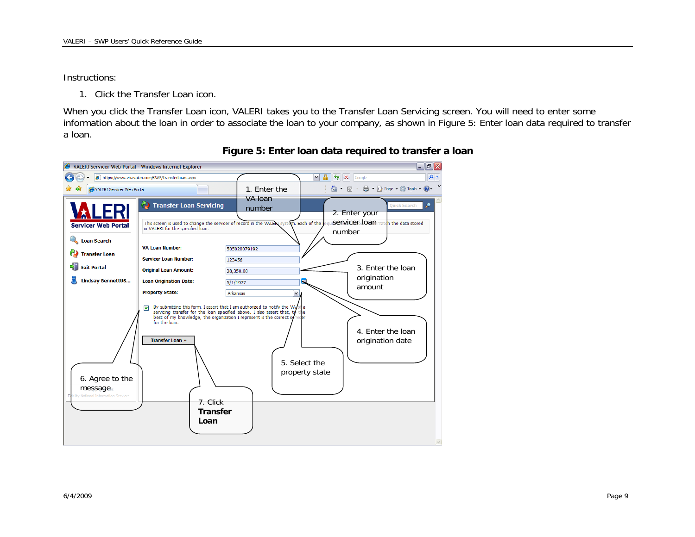### <span id="page-8-0"></span>Instructions:

1. Click the Transfer Loan icon.

When you click the Transfer Loan icon, VALERI takes you to the Transfer Loan Servicing screen. You will need to enter some information about the loan in order to associate the loan to your company, as shown in [Figure 5: Enter loan data required to transfer](#page-8-1)  [a loan](#page-8-1).

<span id="page-8-1"></span>

## **Figure 5: Enter loan data required to transfer a loan**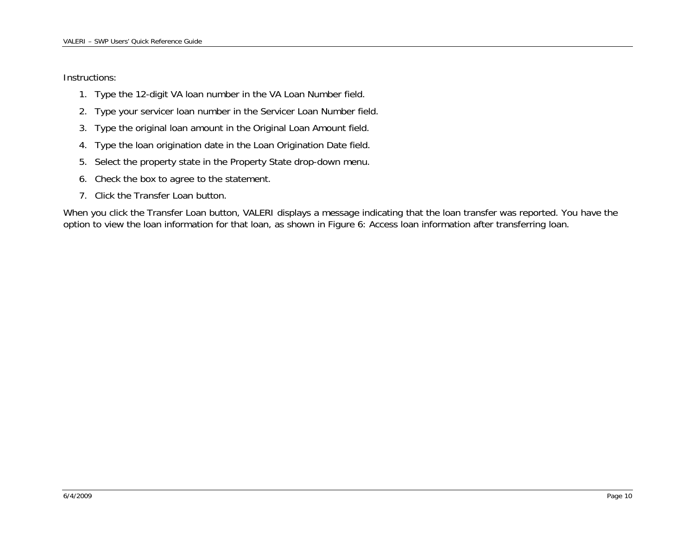Instructions:

- 1. Type the 12-digit VA loan number in the VA Loan Number field.
- 2. Type your servicer loan number in the Servicer Loan Number field.
- 3. Type the original loan amount in the Original Loan Amount field.
- 4. Type the loan origination date in the Loan Origination Date field.
- 5. Select the property state in the Property State drop-down menu.
- 6. Check the box to agree to the statement.
- 7. Click the Transfer Loan button.

When you click the Transfer Loan button, VALERI displays a message indicating that the loan transfer was reported. You have the option to view the loan information for that loan, as shown in [Figure 6: Access loan information after transferring loan](#page-10-1).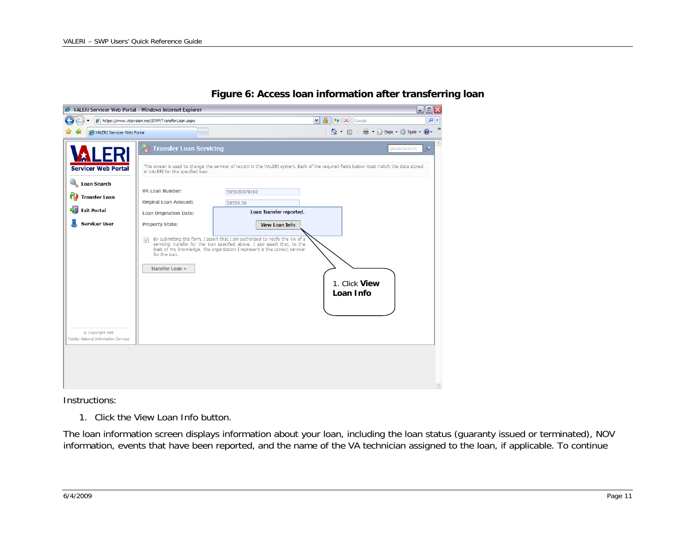<span id="page-10-1"></span><span id="page-10-0"></span>

## **Figure 6: Access loan information after transferring loan**

Instructions:

1. Click the View Loan Info button.

The loan information screen displays information about your loan, including the loan status (guaranty issued or terminated), NOV information, events that have been reported, and the name of the VA technician assigned to the loan, if applicable. To continue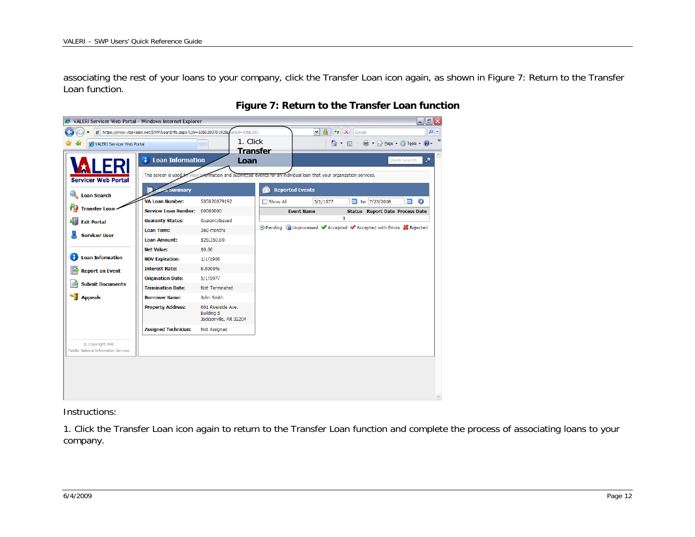<span id="page-11-0"></span>associating the rest of your loans to your company, click the Transfer Loan icon again, as shown in [Figure 7: Return to the Transfer](#page-11-1)  [Loan function](#page-11-1).

<span id="page-11-1"></span>

### **Figure 7: Return to the Transfer Loan function**

Instructions:

1. Click the Transfer Loan icon again to return to the Transfer Loan function and complete the process of associating loans to your company.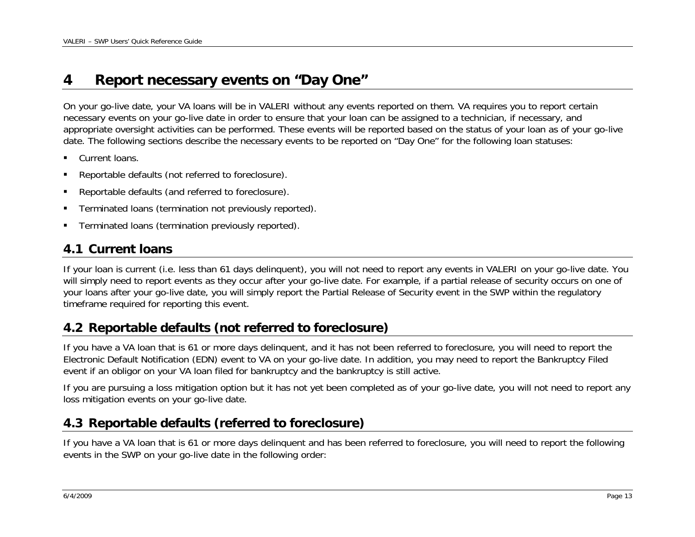### <span id="page-12-0"></span>**4Report necessary events on "Day One"**

On your go-live date, your VA loans will be in VALERI without any events reported on them. VA requires you to report certain necessary events on your go-live date in order to ensure that your loan can be assigned to a technician, if necessary, and appropriate oversight activities can be performed. These events will be reported based on the status of your loan as of your go-live date. The following sections describe the necessary events to be reported on "Day One" for the following loan statuses:

- **Current loans.**
- Reportable defaults (not referred to foreclosure).
- Reportable defaults (and referred to foreclosure).
- Terminated loans (termination not previously reported).
- Terminated loans (termination previously reported).

# **4.1 Current loans**

If your loan is current (i.e. less than 61 days delinquent), you will not need to report any events in VALERI on your go-live date. You will simply need to report events as they occur after your go-live date. For example, if a partial release of security occurs on one of your loans after your go-live date, you will simply report the Partial Release of Security event in the SWP within the regulatory timeframe required for reporting this event.

# **4.2 Reportable defaults (not referred to foreclosure)**

If you have a VA loan that is 61 or more days delinquent, and it has not been referred to foreclosure, you will need to report the Electronic Default Notification (EDN) event to VA on your go-live date. In addition, you may need to report the Bankruptcy Filed event if an obligor on your VA loan filed for bankruptcy and the bankruptcy is still active.

If you are pursuing a loss mitigation option but it has not yet been completed as of your go-live date, you will not need to report any loss mitigation events on your go-live date.

# **4.3 Reportable defaults (referred to foreclosure)**

If you have a VA loan that is 61 or more days delinquent and has been referred to foreclosure, you will need to report the following events in the SWP on your go-live date in the following order: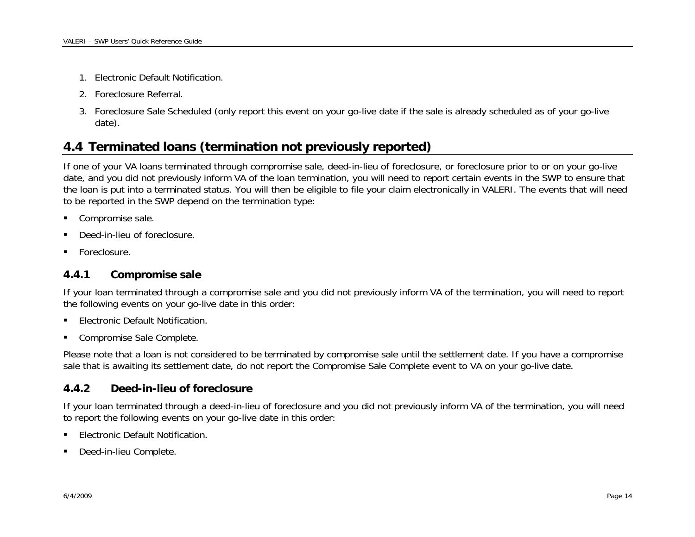- <span id="page-13-0"></span>1. Electronic Default Notification.
- 2. Foreclosure Referral.
- 3. Foreclosure Sale Scheduled (only report this event on your go-live date if the sale is already scheduled as of your go-live date).

# **4.4 Terminated loans (termination not previously reported)**

If one of your VA loans terminated through compromise sale, deed-in-lieu of foreclosure, or foreclosure prior to or on your go-live date, and you did not previously inform VA of the loan termination, you will need to report certain events in the SWP to ensure that the loan is put into a terminated status. You will then be eligible to file your claim electronically in VALERI. The events that will need to be reported in the SWP depend on the termination type:

- Compromise sale.
- Deed-in-lieu of foreclosure.
- Foreclosure.

#### **4.4.1Compromise sale**

If your loan terminated through a compromise sale and you did not previously inform VA of the termination, you will need to report the following events on your go-live date in this order:

- Electronic Default Notification.
- **Compromise Sale Complete.**

Please note that a loan is not considered to be terminated by compromise sale until the settlement date. If you have a compromise sale that is awaiting its settlement date, do not report the Compromise Sale Complete event to VA on your go-live date.

### **4.4.2Deed-in-lieu of foreclosure**

If your loan terminated through a deed-in-lieu of foreclosure and you did not previously inform VA of the termination, you will need to report the following events on your go-live date in this order:

- Electronic Default Notification.
- **-** Deed-in-lieu Complete.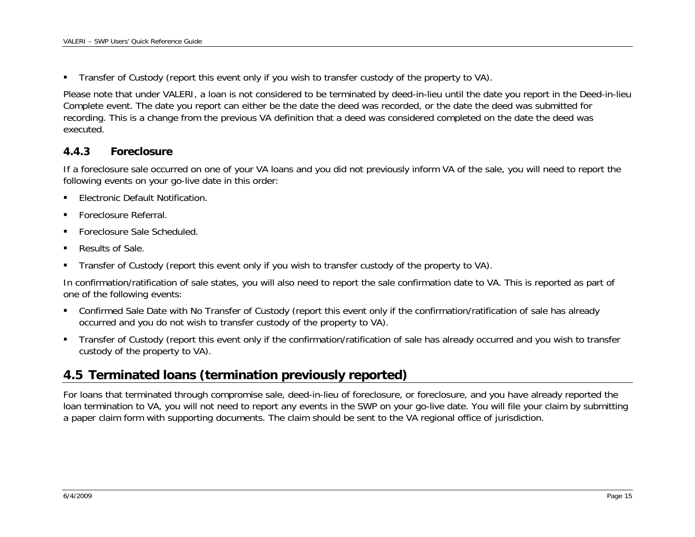<span id="page-14-0"></span>Transfer of Custody (report this event only if you wish to transfer custody of the property to VA).

Please note that under VALERI, a loan is not considered to be terminated by deed-in-lieu until the date you report in the Deed-in-lieu Complete event. The date you report can either be the date the deed was recorded, or the date the deed was submitted for recording. This is a change from the previous VA definition that a deed was considered completed on the date the deed was executed.

#### **4.4.3Foreclosure**

If a foreclosure sale occurred on one of your VA loans and you did not previously inform VA of the sale, you will need to report the following events on your go-live date in this order:

- **Electronic Default Notification.**
- Foreclosure Referral.
- Foreclosure Sale Scheduled.
- Results of Sale.
- Transfer of Custody (report this event only if you wish to transfer custody of the property to VA).

In confirmation/ratification of sale states, you will also need to report the sale confirmation date to VA. This is reported as part of one of the following events:

- Confirmed Sale Date with No Transfer of Custody (report this event only if the confirmation/ratification of sale has already occurred and you do not wish to transfer custody of the property to VA).
- Transfer of Custody (report this event only if the confirmation/ratification of sale has already occurred and you wish to transfer custody of the property to VA).

# **4.5 Terminated loans (termination previously reported)**

For loans that terminated through compromise sale, deed-in-lieu of foreclosure, or foreclosure, and you have already reported the loan termination to VA, you will not need to report any events in the SWP on your go-live date. You will file your claim by submitting a paper claim form with supporting documents. The claim should be sent to the VA regional office of jurisdiction.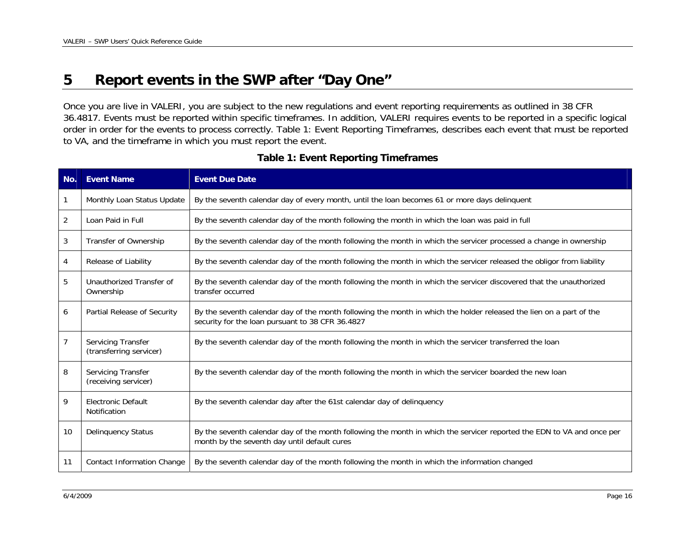### <span id="page-15-0"></span>**5Report events in the SWP after "Day One"**

Once you are live in VALERI, you are subject to the new regulations and event reporting requirements as outlined in 38 CFR 36.4817. Events must be reported within specific timeframes. In addition, VALERI requires events to be reported in a specific logical order in order for the events to process correctly. [Table 1: Event Reporting Timeframes](#page-15-1), describes each event that must be reported to VA, and the timeframe in which you must report the event.

<span id="page-15-1"></span>

| No. | <b>Event Name</b>                             | <b>Event Due Date</b>                                                                                                                                                   |
|-----|-----------------------------------------------|-------------------------------------------------------------------------------------------------------------------------------------------------------------------------|
| 1   | Monthly Loan Status Update                    | By the seventh calendar day of every month, until the loan becomes 61 or more days delinquent                                                                           |
| 2   | Loan Paid in Full                             | By the seventh calendar day of the month following the month in which the loan was paid in full                                                                         |
| 3   | Transfer of Ownership                         | By the seventh calendar day of the month following the month in which the servicer processed a change in ownership                                                      |
| 4   | Release of Liability                          | By the seventh calendar day of the month following the month in which the servicer released the obligor from liability                                                  |
| 5   | Unauthorized Transfer of<br>Ownership         | By the seventh calendar day of the month following the month in which the servicer discovered that the unauthorized<br>transfer occurred                                |
| 6   | Partial Release of Security                   | By the seventh calendar day of the month following the month in which the holder released the lien on a part of the<br>security for the loan pursuant to 38 CFR 36.4827 |
| 7   | Servicing Transfer<br>(transferring servicer) | By the seventh calendar day of the month following the month in which the servicer transferred the loan                                                                 |
| 8   | Servicing Transfer<br>(receiving servicer)    | By the seventh calendar day of the month following the month in which the servicer boarded the new loan                                                                 |
| 9   | Electronic Default<br>Notification            | By the seventh calendar day after the 61st calendar day of delinquency                                                                                                  |
| 10  | <b>Delinquency Status</b>                     | By the seventh calendar day of the month following the month in which the servicer reported the EDN to VA and once per<br>month by the seventh day until default cures  |
| 11  | <b>Contact Information Change</b>             | By the seventh calendar day of the month following the month in which the information changed                                                                           |

## **Table 1: Event Reporting Timeframes**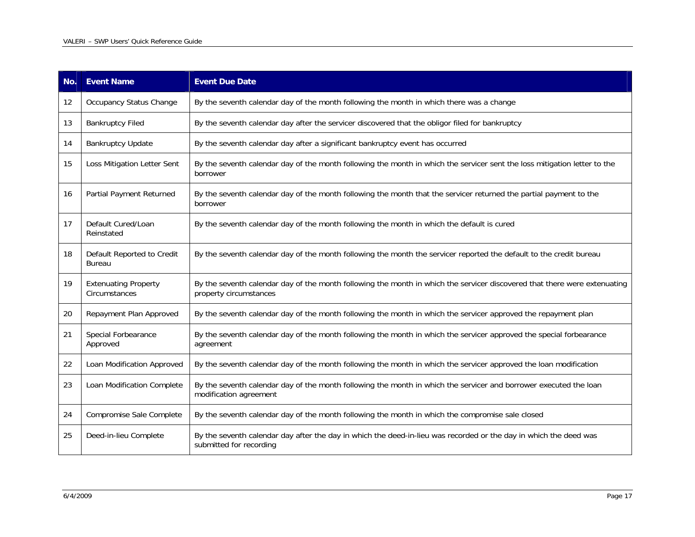| No. | <b>Event Name</b>                            | <b>Event Due Date</b>                                                                                                                               |
|-----|----------------------------------------------|-----------------------------------------------------------------------------------------------------------------------------------------------------|
| 12  | Occupancy Status Change                      | By the seventh calendar day of the month following the month in which there was a change                                                            |
| 13  | <b>Bankruptcy Filed</b>                      | By the seventh calendar day after the servicer discovered that the obligor filed for bankruptcy                                                     |
| 14  | <b>Bankruptcy Update</b>                     | By the seventh calendar day after a significant bankruptcy event has occurred                                                                       |
| 15  | Loss Mitigation Letter Sent                  | By the seventh calendar day of the month following the month in which the servicer sent the loss mitigation letter to the<br>borrower               |
| 16  | Partial Payment Returned                     | By the seventh calendar day of the month following the month that the servicer returned the partial payment to the<br>borrower                      |
| 17  | Default Cured/Loan<br>Reinstated             | By the seventh calendar day of the month following the month in which the default is cured                                                          |
| 18  | Default Reported to Credit<br><b>Bureau</b>  | By the seventh calendar day of the month following the month the servicer reported the default to the credit bureau                                 |
| 19  | <b>Extenuating Property</b><br>Circumstances | By the seventh calendar day of the month following the month in which the servicer discovered that there were extenuating<br>property circumstances |
| 20  | Repayment Plan Approved                      | By the seventh calendar day of the month following the month in which the servicer approved the repayment plan                                      |
| 21  | Special Forbearance<br>Approved              | By the seventh calendar day of the month following the month in which the servicer approved the special forbearance<br>agreement                    |
| 22  | Loan Modification Approved                   | By the seventh calendar day of the month following the month in which the servicer approved the loan modification                                   |
| 23  | Loan Modification Complete                   | By the seventh calendar day of the month following the month in which the servicer and borrower executed the loan<br>modification agreement         |
| 24  | Compromise Sale Complete                     | By the seventh calendar day of the month following the month in which the compromise sale closed                                                    |
| 25  | Deed-in-lieu Complete                        | By the seventh calendar day after the day in which the deed-in-lieu was recorded or the day in which the deed was<br>submitted for recording        |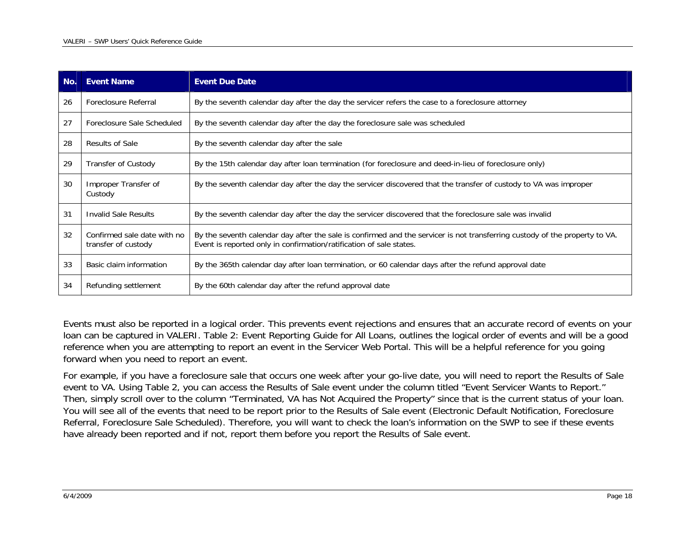| No. | <b>Event Name</b>                                  | <b>Event Due Date</b>                                                                                                                                                                              |
|-----|----------------------------------------------------|----------------------------------------------------------------------------------------------------------------------------------------------------------------------------------------------------|
| 26  | Foreclosure Referral                               | By the seventh calendar day after the day the servicer refers the case to a foreclosure attorney                                                                                                   |
| 27  | Foreclosure Sale Scheduled                         | By the seventh calendar day after the day the foreclosure sale was scheduled                                                                                                                       |
| 28  | Results of Sale                                    | By the seventh calendar day after the sale                                                                                                                                                         |
| 29  | <b>Transfer of Custody</b>                         | By the 15th calendar day after loan termination (for foreclosure and deed-in-lieu of foreclosure only)                                                                                             |
| 30  | Improper Transfer of<br>Custody                    | By the seventh calendar day after the day the servicer discovered that the transfer of custody to VA was improper                                                                                  |
| 31  | Invalid Sale Results                               | By the seventh calendar day after the day the servicer discovered that the foreclosure sale was invalid                                                                                            |
| 32  | Confirmed sale date with no<br>transfer of custody | By the seventh calendar day after the sale is confirmed and the servicer is not transferring custody of the property to VA.<br>Event is reported only in confirmation/ratification of sale states. |
| 33  | Basic claim information                            | By the 365th calendar day after loan termination, or 60 calendar days after the refund approval date                                                                                               |
| 34  | Refunding settlement                               | By the 60th calendar day after the refund approval date                                                                                                                                            |

Events must also be reported in a logical order. This prevents event rejections and ensures that an accurate record of events on your loan can be captured in VALERI. [Table 2: Event Reporting Guide for All Loans](#page-18-1), outlines the logical order of events and will be a good reference when you are attempting to report an event in the Servicer Web Portal. This will be a helpful reference for you going forward when you need to report an event.

For example, if you have a foreclosure sale that occurs one week after your go-live date, you will need to report the Results of Sale event to VA. Using Table 2, you can access the Results of Sale event under the column titled "Event Servicer Wants to Report." Then, simply scroll over to the column "Terminated, VA has Not Acquired the Property" since that is the current status of your loan. You will see all of the events that need to be report prior to the Results of Sale event (Electronic Default Notification, Foreclosure Referral, Foreclosure Sale Scheduled). Therefore, you will want to check the loan's information on the SWP to see if these events have already been reported and if not, report them before you report the Results of Sale event.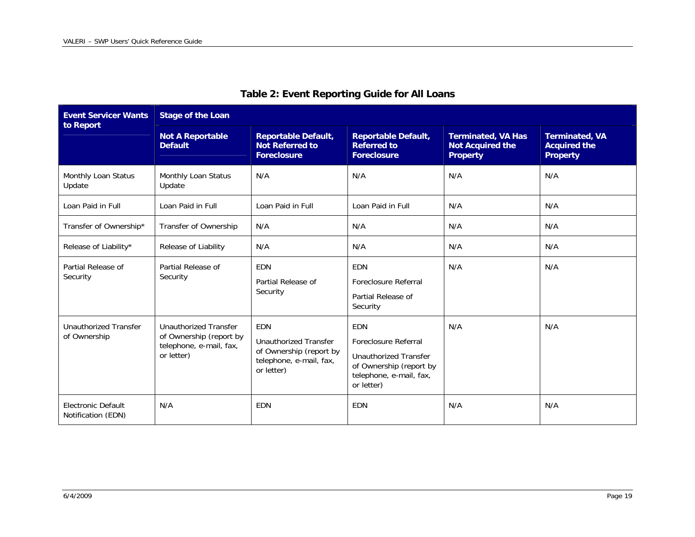<span id="page-18-1"></span><span id="page-18-0"></span>

| <b>Event Servicer Wants</b>                  | <b>Stage of the Loan</b>                                                                         |                                                                                                                |                                                                                                                                 |                                                                         |                                                                 |  |
|----------------------------------------------|--------------------------------------------------------------------------------------------------|----------------------------------------------------------------------------------------------------------------|---------------------------------------------------------------------------------------------------------------------------------|-------------------------------------------------------------------------|-----------------------------------------------------------------|--|
| to Report                                    | <b>Not A Reportable</b><br><b>Default</b>                                                        | <b>Reportable Default,</b><br><b>Not Referred to</b><br><b>Foreclosure</b>                                     | <b>Reportable Default,</b><br><b>Referred to</b><br><b>Foreclosure</b>                                                          | <b>Terminated, VA Has</b><br><b>Not Acquired the</b><br><b>Property</b> | <b>Terminated, VA</b><br><b>Acquired the</b><br><b>Property</b> |  |
| Monthly Loan Status<br>Update                | Monthly Loan Status<br>Update                                                                    | N/A                                                                                                            | N/A                                                                                                                             | N/A                                                                     | N/A                                                             |  |
| Loan Paid in Full                            | Loan Paid in Full                                                                                | Loan Paid in Full                                                                                              | Loan Paid in Full                                                                                                               | N/A                                                                     | N/A                                                             |  |
| Transfer of Ownership*                       | Transfer of Ownership                                                                            | N/A                                                                                                            | N/A                                                                                                                             | N/A                                                                     | N/A                                                             |  |
| Release of Liability*                        | Release of Liability                                                                             | N/A                                                                                                            | N/A                                                                                                                             | N/A                                                                     | N/A                                                             |  |
| Partial Release of<br>Security               | Partial Release of<br>Security                                                                   | <b>EDN</b><br>Partial Release of<br>Security                                                                   | EDN<br>Foreclosure Referral<br>Partial Release of<br>Security                                                                   | N/A                                                                     | N/A                                                             |  |
| <b>Unauthorized Transfer</b><br>of Ownership | <b>Unauthorized Transfer</b><br>of Ownership (report by<br>telephone, e-mail, fax,<br>or letter) | <b>EDN</b><br><b>Unauthorized Transfer</b><br>of Ownership (report by<br>telephone, e-mail, fax,<br>or letter) | <b>EDN</b><br>Foreclosure Referral<br>Unauthorized Transfer<br>of Ownership (report by<br>telephone, e-mail, fax,<br>or letter) | N/A                                                                     | N/A                                                             |  |
| Electronic Default<br>Notification (EDN)     | N/A                                                                                              | <b>EDN</b>                                                                                                     | <b>EDN</b>                                                                                                                      | N/A                                                                     | N/A                                                             |  |

## **Table 2: Event Reporting Guide for All Loans**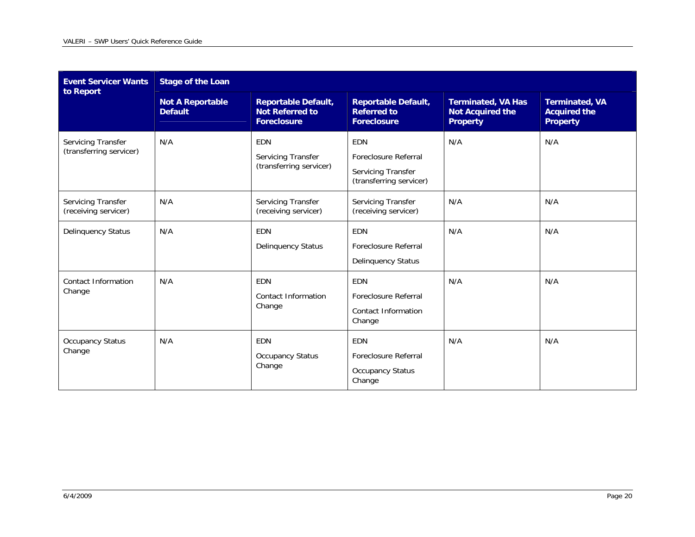| <b>Event Servicer Wants</b><br>to Report      | <b>Stage of the Loan</b>                  |                                                                            |                                                                                     |                                                                         |                                                                 |  |
|-----------------------------------------------|-------------------------------------------|----------------------------------------------------------------------------|-------------------------------------------------------------------------------------|-------------------------------------------------------------------------|-----------------------------------------------------------------|--|
|                                               | <b>Not A Reportable</b><br><b>Default</b> | <b>Reportable Default,</b><br><b>Not Referred to</b><br><b>Foreclosure</b> | <b>Reportable Default,</b><br><b>Referred to</b><br><b>Foreclosure</b>              | <b>Terminated, VA Has</b><br><b>Not Acquired the</b><br><b>Property</b> | <b>Terminated, VA</b><br><b>Acquired the</b><br><b>Property</b> |  |
| Servicing Transfer<br>(transferring servicer) | N/A                                       | EDN<br>Servicing Transfer<br>(transferring servicer)                       | <b>EDN</b><br>Foreclosure Referral<br>Servicing Transfer<br>(transferring servicer) | N/A                                                                     | N/A                                                             |  |
| Servicing Transfer<br>(receiving servicer)    | N/A                                       | Servicing Transfer<br>(receiving servicer)                                 | Servicing Transfer<br>(receiving servicer)                                          | N/A                                                                     | N/A                                                             |  |
| Delinquency Status                            | N/A                                       | <b>EDN</b><br><b>Delinquency Status</b>                                    | <b>EDN</b><br>Foreclosure Referral<br><b>Delinquency Status</b>                     | N/A                                                                     | N/A                                                             |  |
| Contact Information<br>Change                 | N/A                                       | <b>EDN</b><br>Contact Information<br>Change                                | EDN<br>Foreclosure Referral<br><b>Contact Information</b><br>Change                 | N/A                                                                     | N/A                                                             |  |
| <b>Occupancy Status</b><br>Change             | N/A                                       | EDN<br><b>Occupancy Status</b><br>Change                                   | EDN<br>Foreclosure Referral<br><b>Occupancy Status</b><br>Change                    | N/A                                                                     | N/A                                                             |  |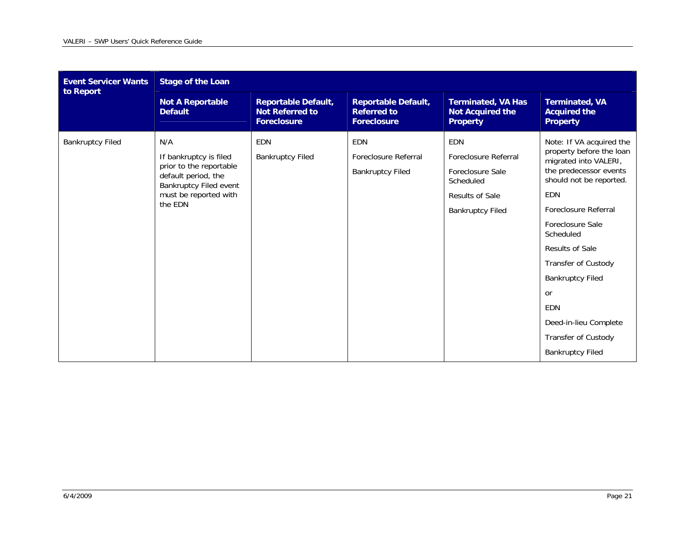| <b>Event Servicer Wants</b> | <b>Stage of the Loan</b>                                                                                                                      |                                                                     |                                                                        |                                                                                                                   |                                                                                                                                                                                                                                                                                                                                                                               |  |
|-----------------------------|-----------------------------------------------------------------------------------------------------------------------------------------------|---------------------------------------------------------------------|------------------------------------------------------------------------|-------------------------------------------------------------------------------------------------------------------|-------------------------------------------------------------------------------------------------------------------------------------------------------------------------------------------------------------------------------------------------------------------------------------------------------------------------------------------------------------------------------|--|
| to Report                   | <b>Not A Reportable</b><br><b>Default</b>                                                                                                     | <b>Reportable Default,</b><br><b>Not Referred to</b><br>Foreclosure | <b>Reportable Default,</b><br><b>Referred to</b><br><b>Foreclosure</b> | <b>Terminated, VA Has</b><br><b>Not Acquired the</b><br><b>Property</b>                                           | <b>Terminated, VA</b><br><b>Acquired the</b><br><b>Property</b>                                                                                                                                                                                                                                                                                                               |  |
| <b>Bankruptcy Filed</b>     | N/A<br>If bankruptcy is filed<br>prior to the reportable<br>default period, the<br>Bankruptcy Filed event<br>must be reported with<br>the EDN | <b>EDN</b><br><b>Bankruptcy Filed</b>                               | <b>EDN</b><br>Foreclosure Referral<br><b>Bankruptcy Filed</b>          | <b>EDN</b><br>Foreclosure Referral<br>Foreclosure Sale<br>Scheduled<br>Results of Sale<br><b>Bankruptcy Filed</b> | Note: If VA acquired the<br>property before the loan<br>migrated into VALERI,<br>the predecessor events<br>should not be reported.<br>EDN<br>Foreclosure Referral<br>Foreclosure Sale<br>Scheduled<br><b>Results of Sale</b><br>Transfer of Custody<br><b>Bankruptcy Filed</b><br><b>or</b><br>EDN<br>Deed-in-lieu Complete<br>Transfer of Custody<br><b>Bankruptcy Filed</b> |  |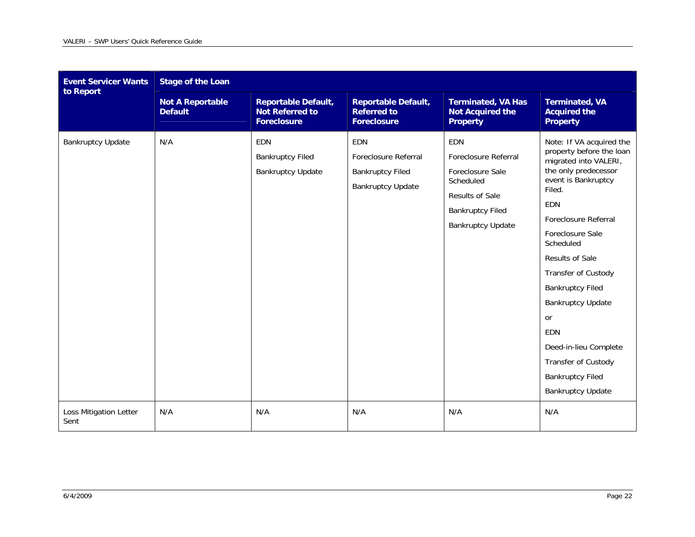| <b>Event Servicer Wants</b><br>to Report | <b>Stage of the Loan</b>                  |                                                                            |                                                                                           |                                                                                                                                                      |                                                                                                                                                                                                                                                                                                                                                                                                                                                  |  |  |
|------------------------------------------|-------------------------------------------|----------------------------------------------------------------------------|-------------------------------------------------------------------------------------------|------------------------------------------------------------------------------------------------------------------------------------------------------|--------------------------------------------------------------------------------------------------------------------------------------------------------------------------------------------------------------------------------------------------------------------------------------------------------------------------------------------------------------------------------------------------------------------------------------------------|--|--|
|                                          | <b>Not A Reportable</b><br><b>Default</b> | <b>Reportable Default,</b><br><b>Not Referred to</b><br><b>Foreclosure</b> | <b>Reportable Default,</b><br><b>Referred to</b><br><b>Foreclosure</b>                    | <b>Terminated, VA Has</b><br><b>Not Acquired the</b><br><b>Property</b>                                                                              | <b>Terminated, VA</b><br><b>Acquired the</b><br><b>Property</b>                                                                                                                                                                                                                                                                                                                                                                                  |  |  |
| <b>Bankruptcy Update</b>                 | N/A                                       | <b>EDN</b><br><b>Bankruptcy Filed</b><br><b>Bankruptcy Update</b>          | <b>EDN</b><br>Foreclosure Referral<br><b>Bankruptcy Filed</b><br><b>Bankruptcy Update</b> | <b>EDN</b><br>Foreclosure Referral<br>Foreclosure Sale<br>Scheduled<br><b>Results of Sale</b><br><b>Bankruptcy Filed</b><br><b>Bankruptcy Update</b> | Note: If VA acquired the<br>property before the loan<br>migrated into VALERI,<br>the only predecessor<br>event is Bankruptcy<br>Filed.<br><b>EDN</b><br>Foreclosure Referral<br>Foreclosure Sale<br>Scheduled<br><b>Results of Sale</b><br>Transfer of Custody<br><b>Bankruptcy Filed</b><br><b>Bankruptcy Update</b><br><b>or</b><br>EDN<br>Deed-in-lieu Complete<br>Transfer of Custody<br><b>Bankruptcy Filed</b><br><b>Bankruptcy Update</b> |  |  |
| Loss Mitigation Letter<br>Sent           | N/A                                       | N/A                                                                        | N/A                                                                                       | N/A                                                                                                                                                  | N/A                                                                                                                                                                                                                                                                                                                                                                                                                                              |  |  |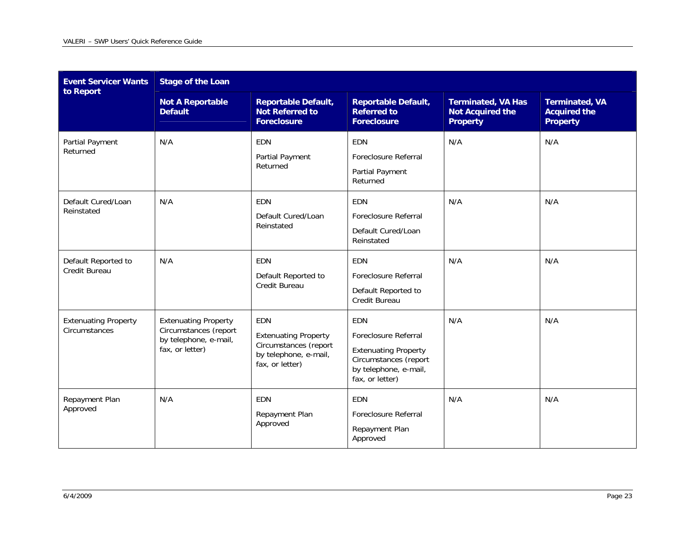| <b>Event Servicer Wants</b><br>to Report     | <b>Stage of the Loan</b>                                                                         |                                                                                                                |                                                                                                                                        |                                                                         |                                                                 |  |  |
|----------------------------------------------|--------------------------------------------------------------------------------------------------|----------------------------------------------------------------------------------------------------------------|----------------------------------------------------------------------------------------------------------------------------------------|-------------------------------------------------------------------------|-----------------------------------------------------------------|--|--|
|                                              | <b>Not A Reportable</b><br><b>Default</b>                                                        | <b>Reportable Default,</b><br><b>Not Referred to</b><br><b>Foreclosure</b>                                     | <b>Reportable Default,</b><br><b>Referred to</b><br><b>Foreclosure</b>                                                                 | <b>Terminated, VA Has</b><br><b>Not Acquired the</b><br><b>Property</b> | <b>Terminated, VA</b><br><b>Acquired the</b><br><b>Property</b> |  |  |
| Partial Payment<br>Returned                  | N/A                                                                                              | EDN<br>Partial Payment<br>Returned                                                                             | EDN<br>Foreclosure Referral<br>Partial Payment<br>Returned                                                                             | N/A                                                                     | N/A                                                             |  |  |
| Default Cured/Loan<br>Reinstated             | N/A                                                                                              | <b>EDN</b><br>Default Cured/Loan<br>Reinstated                                                                 | <b>EDN</b><br>Foreclosure Referral<br>Default Cured/Loan<br>Reinstated                                                                 | N/A                                                                     | N/A                                                             |  |  |
| Default Reported to<br>Credit Bureau         | N/A                                                                                              | EDN<br>Default Reported to<br>Credit Bureau                                                                    | EDN<br>Foreclosure Referral<br>Default Reported to<br>Credit Bureau                                                                    | N/A                                                                     | N/A                                                             |  |  |
| <b>Extenuating Property</b><br>Circumstances | <b>Extenuating Property</b><br>Circumstances (report<br>by telephone, e-mail,<br>fax, or letter) | <b>EDN</b><br><b>Extenuating Property</b><br>Circumstances (report<br>by telephone, e-mail,<br>fax, or letter) | <b>EDN</b><br>Foreclosure Referral<br><b>Extenuating Property</b><br>Circumstances (report<br>by telephone, e-mail,<br>fax, or letter) | N/A                                                                     | N/A                                                             |  |  |
| Repayment Plan<br>Approved                   | N/A                                                                                              | EDN<br>Repayment Plan<br>Approved                                                                              | EDN<br>Foreclosure Referral<br>Repayment Plan<br>Approved                                                                              | N/A                                                                     | N/A                                                             |  |  |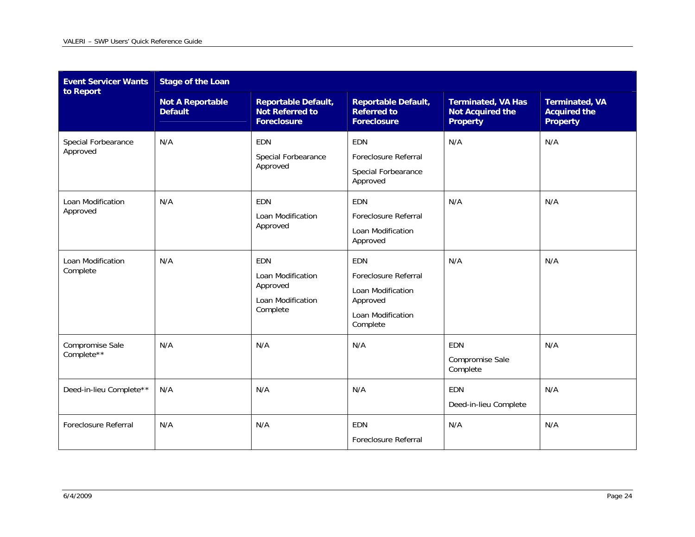| <b>Event Servicer Wants</b><br>to Report | <b>Stage of the Loan</b>                  |                                                                              |                                                                                               |                                                                         |                                                                 |  |  |
|------------------------------------------|-------------------------------------------|------------------------------------------------------------------------------|-----------------------------------------------------------------------------------------------|-------------------------------------------------------------------------|-----------------------------------------------------------------|--|--|
|                                          | <b>Not A Reportable</b><br><b>Default</b> | <b>Reportable Default,</b><br><b>Not Referred to</b><br><b>Foreclosure</b>   | <b>Reportable Default,</b><br><b>Referred to</b><br><b>Foreclosure</b>                        | <b>Terminated, VA Has</b><br><b>Not Acquired the</b><br><b>Property</b> | <b>Terminated, VA</b><br><b>Acquired the</b><br><b>Property</b> |  |  |
| Special Forbearance<br>Approved          | N/A                                       | <b>EDN</b><br>Special Forbearance<br>Approved                                | <b>EDN</b><br>Foreclosure Referral<br>Special Forbearance<br>Approved                         | N/A                                                                     | N/A                                                             |  |  |
| Loan Modification<br>Approved            | N/A                                       | <b>EDN</b><br>Loan Modification<br>Approved                                  | <b>EDN</b><br><b>Foreclosure Referral</b><br>Loan Modification<br>Approved                    | N/A                                                                     | N/A                                                             |  |  |
| Loan Modification<br>Complete            | N/A                                       | <b>EDN</b><br>Loan Modification<br>Approved<br>Loan Modification<br>Complete | EDN<br>Foreclosure Referral<br>Loan Modification<br>Approved<br>Loan Modification<br>Complete | N/A                                                                     | N/A                                                             |  |  |
| Compromise Sale<br>Complete**            | N/A                                       | N/A                                                                          | N/A                                                                                           | EDN<br>Compromise Sale<br>Complete                                      | N/A                                                             |  |  |
| Deed-in-lieu Complete**                  | N/A                                       | N/A                                                                          | N/A                                                                                           | <b>EDN</b><br>Deed-in-lieu Complete                                     | N/A                                                             |  |  |
| Foreclosure Referral                     | N/A                                       | N/A                                                                          | EDN<br>Foreclosure Referral                                                                   | N/A                                                                     | N/A                                                             |  |  |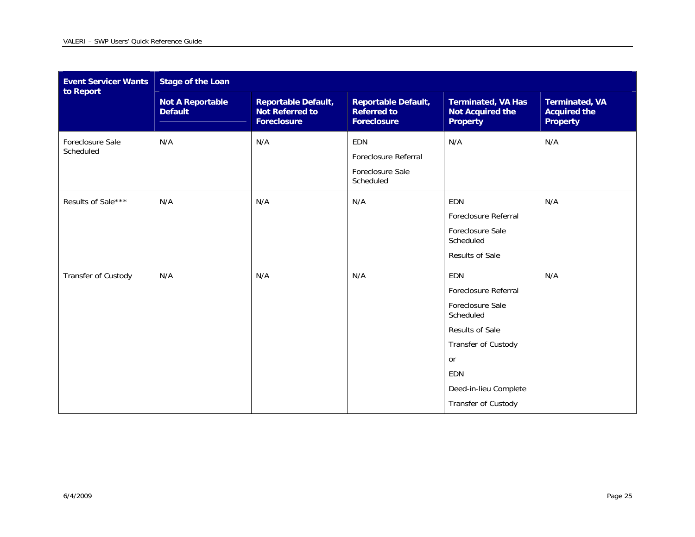| <b>Event Servicer Wants</b><br>to Report | <b>Stage of the Loan</b>                  |                                                                            |                                                                        |                                                                                                                                                                            |                                                                 |  |  |
|------------------------------------------|-------------------------------------------|----------------------------------------------------------------------------|------------------------------------------------------------------------|----------------------------------------------------------------------------------------------------------------------------------------------------------------------------|-----------------------------------------------------------------|--|--|
|                                          | <b>Not A Reportable</b><br><b>Default</b> | <b>Reportable Default,</b><br><b>Not Referred to</b><br><b>Foreclosure</b> | <b>Reportable Default,</b><br><b>Referred to</b><br><b>Foreclosure</b> | <b>Terminated, VA Has</b><br><b>Not Acquired the</b><br><b>Property</b>                                                                                                    | <b>Terminated, VA</b><br><b>Acquired the</b><br><b>Property</b> |  |  |
| Foreclosure Sale<br>Scheduled            | N/A                                       | N/A                                                                        | <b>EDN</b><br>Foreclosure Referral<br>Foreclosure Sale<br>Scheduled    | N/A                                                                                                                                                                        | N/A                                                             |  |  |
| Results of Sale***                       | N/A                                       | N/A                                                                        | N/A                                                                    | <b>EDN</b><br>Foreclosure Referral<br>Foreclosure Sale<br>Scheduled<br>Results of Sale                                                                                     | N/A                                                             |  |  |
| Transfer of Custody                      | N/A                                       | N/A                                                                        | N/A                                                                    | <b>EDN</b><br>Foreclosure Referral<br>Foreclosure Sale<br>Scheduled<br>Results of Sale<br>Transfer of Custody<br>or<br>EDN<br>Deed-in-lieu Complete<br>Transfer of Custody | N/A                                                             |  |  |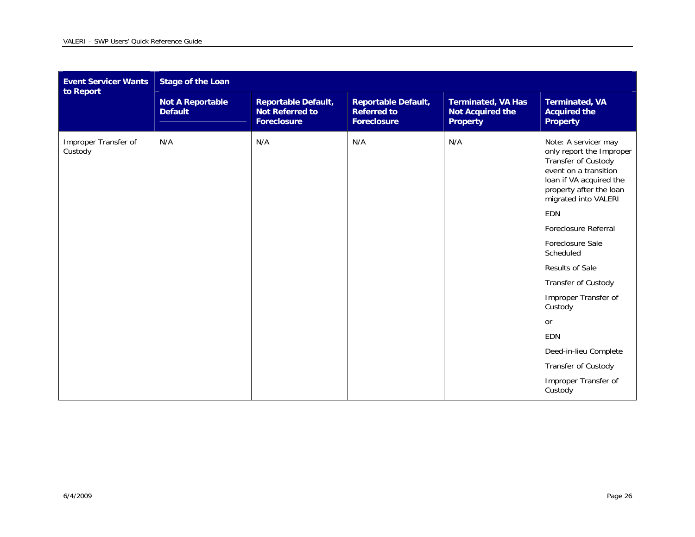| <b>Event Servicer Wants</b><br>to Report | <b>Stage of the Loan</b>                  |                                                                            |                                                                        |                                                                         |                                                                                                                                                                                                                                                                                                                                                                                                                                           |  |  |
|------------------------------------------|-------------------------------------------|----------------------------------------------------------------------------|------------------------------------------------------------------------|-------------------------------------------------------------------------|-------------------------------------------------------------------------------------------------------------------------------------------------------------------------------------------------------------------------------------------------------------------------------------------------------------------------------------------------------------------------------------------------------------------------------------------|--|--|
|                                          | <b>Not A Reportable</b><br><b>Default</b> | <b>Reportable Default,</b><br><b>Not Referred to</b><br><b>Foreclosure</b> | <b>Reportable Default,</b><br><b>Referred to</b><br><b>Foreclosure</b> | <b>Terminated, VA Has</b><br><b>Not Acquired the</b><br><b>Property</b> | <b>Terminated, VA</b><br><b>Acquired the</b><br><b>Property</b>                                                                                                                                                                                                                                                                                                                                                                           |  |  |
| Improper Transfer of<br>Custody          | N/A                                       | N/A                                                                        | N/A                                                                    | N/A                                                                     | Note: A servicer may<br>only report the Improper<br>Transfer of Custody<br>event on a transition<br>loan if VA acquired the<br>property after the loan<br>migrated into VALERI<br>EDN<br>Foreclosure Referral<br>Foreclosure Sale<br>Scheduled<br>Results of Sale<br>Transfer of Custody<br>Improper Transfer of<br>Custody<br>or<br><b>EDN</b><br>Deed-in-lieu Complete<br><b>Transfer of Custody</b><br>Improper Transfer of<br>Custody |  |  |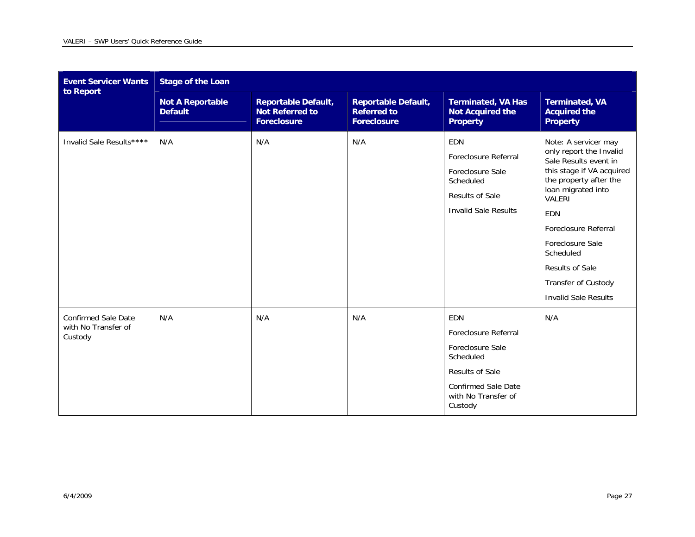| <b>Event Servicer Wants</b><br>to Report                     | <b>Stage of the Loan</b>                  |                                                                            |                                                                        |                                                                                                                                                               |                                                                                                                                                                                                                                                                  |  |  |
|--------------------------------------------------------------|-------------------------------------------|----------------------------------------------------------------------------|------------------------------------------------------------------------|---------------------------------------------------------------------------------------------------------------------------------------------------------------|------------------------------------------------------------------------------------------------------------------------------------------------------------------------------------------------------------------------------------------------------------------|--|--|
|                                                              | <b>Not A Reportable</b><br><b>Default</b> | <b>Reportable Default,</b><br><b>Not Referred to</b><br><b>Foreclosure</b> | <b>Reportable Default,</b><br><b>Referred to</b><br><b>Foreclosure</b> | <b>Terminated, VA Has</b><br><b>Not Acquired the</b><br><b>Property</b>                                                                                       | <b>Terminated, VA</b><br><b>Acquired the</b><br><b>Property</b>                                                                                                                                                                                                  |  |  |
| Invalid Sale Results****                                     | N/A                                       | N/A                                                                        | N/A                                                                    | <b>EDN</b><br>Foreclosure Referral<br>Foreclosure Sale<br>Scheduled<br><b>Results of Sale</b><br><b>Invalid Sale Results</b>                                  | Note: A servicer may<br>only report the Invalid<br>Sale Results event in<br>this stage if VA acquired<br>the property after the<br>loan migrated into<br>VALERI<br><b>EDN</b><br>Foreclosure Referral<br>Foreclosure Sale<br>Scheduled<br><b>Results of Sale</b> |  |  |
|                                                              |                                           |                                                                            |                                                                        |                                                                                                                                                               | Transfer of Custody<br><b>Invalid Sale Results</b>                                                                                                                                                                                                               |  |  |
| <b>Confirmed Sale Date</b><br>with No Transfer of<br>Custody | N/A                                       | N/A                                                                        | N/A                                                                    | <b>EDN</b><br>Foreclosure Referral<br>Foreclosure Sale<br>Scheduled<br><b>Results of Sale</b><br><b>Confirmed Sale Date</b><br>with No Transfer of<br>Custody | N/A                                                                                                                                                                                                                                                              |  |  |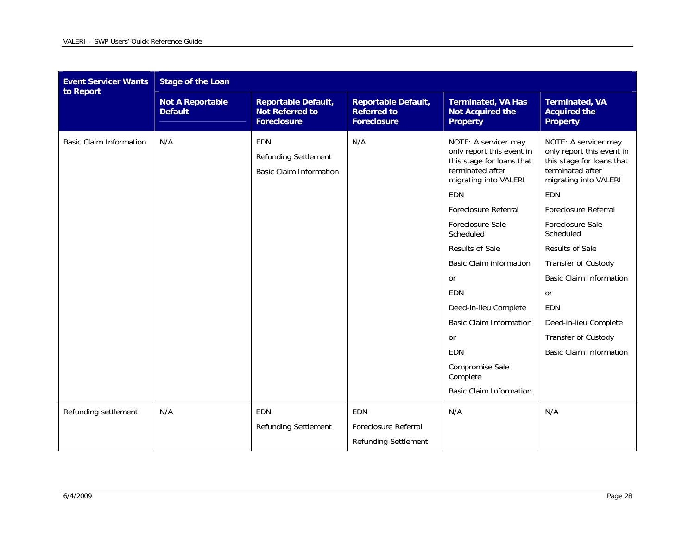| <b>Event Servicer Wants</b><br>to Report | <b>Stage of the Loan</b>                  |                                                                             |                                                                        |                                                                                                                                                                                                                                                                                                                                                                                                                      |                                                                                                                                                                                                                                                                                                                                                                        |  |  |
|------------------------------------------|-------------------------------------------|-----------------------------------------------------------------------------|------------------------------------------------------------------------|----------------------------------------------------------------------------------------------------------------------------------------------------------------------------------------------------------------------------------------------------------------------------------------------------------------------------------------------------------------------------------------------------------------------|------------------------------------------------------------------------------------------------------------------------------------------------------------------------------------------------------------------------------------------------------------------------------------------------------------------------------------------------------------------------|--|--|
|                                          | <b>Not A Reportable</b><br><b>Default</b> | <b>Reportable Default,</b><br><b>Not Referred to</b><br><b>Foreclosure</b>  | <b>Reportable Default,</b><br><b>Referred to</b><br><b>Foreclosure</b> | <b>Terminated, VA Has</b><br><b>Not Acquired the</b><br><b>Property</b>                                                                                                                                                                                                                                                                                                                                              | <b>Terminated, VA</b><br><b>Acquired the</b><br><b>Property</b>                                                                                                                                                                                                                                                                                                        |  |  |
| <b>Basic Claim Information</b>           | N/A                                       | <b>EDN</b><br><b>Refunding Settlement</b><br><b>Basic Claim Information</b> | N/A                                                                    | NOTE: A servicer may<br>only report this event in<br>this stage for loans that<br>terminated after<br>migrating into VALERI<br>EDN<br>Foreclosure Referral<br>Foreclosure Sale<br>Scheduled<br>Results of Sale<br><b>Basic Claim information</b><br><b>or</b><br>EDN<br>Deed-in-lieu Complete<br><b>Basic Claim Information</b><br><b>or</b><br>EDN<br>Compromise Sale<br>Complete<br><b>Basic Claim Information</b> | NOTE: A servicer may<br>only report this event in<br>this stage for loans that<br>terminated after<br>migrating into VALERI<br>EDN<br>Foreclosure Referral<br>Foreclosure Sale<br>Scheduled<br>Results of Sale<br>Transfer of Custody<br><b>Basic Claim Information</b><br>or<br>EDN<br>Deed-in-lieu Complete<br>Transfer of Custody<br><b>Basic Claim Information</b> |  |  |
| Refunding settlement                     | N/A                                       | <b>EDN</b><br><b>Refunding Settlement</b>                                   | <b>EDN</b><br>Foreclosure Referral<br><b>Refunding Settlement</b>      | N/A                                                                                                                                                                                                                                                                                                                                                                                                                  | N/A                                                                                                                                                                                                                                                                                                                                                                    |  |  |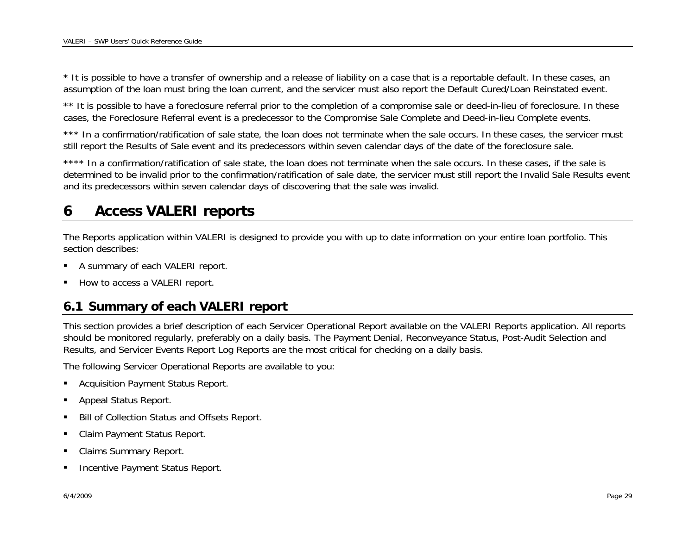<span id="page-28-0"></span>\* It is possible to have a transfer of ownership and a release of liability on a case that is a reportable default. In these cases, an assumption of the loan must bring the loan current, and the servicer must also report the Default Cured/Loan Reinstated event.

\*\* It is possible to have a foreclosure referral prior to the completion of a compromise sale or deed-in-lieu of foreclosure. In these cases, the Foreclosure Referral event is a predecessor to the Compromise Sale Complete and Deed-in-lieu Complete events.

\*\*\* In a confirmation/ratification of sale state, the loan does not terminate when the sale occurs. In these cases, the servicer must still report the Results of Sale event and its predecessors within seven calendar days of the date of the foreclosure sale.

\*\*\*\* In a confirmation/ratification of sale state, the loan does not terminate when the sale occurs. In these cases, if the sale is determined to be invalid prior to the confirmation/ratification of sale date, the servicer must still report the Invalid Sale Results event and its predecessors within seven calendar days of discovering that the sale was invalid.

### **6Access VALERI reports**

The Reports application within VALERI is designed to provide you with up to date information on your entire loan portfolio. This section describes:

- A summary of each VALERI report.
- How to access a VALERI report.

# **6.1 Summary of each VALERI report**

This section provides a brief description of each Servicer Operational Report available on the VALERI Reports application. All reports should be monitored regularly, preferably on a daily basis. The Payment Denial, Reconveyance Status, Post-Audit Selection and Results, and Servicer Events Report Log Reports are the most critical for checking on a daily basis.

The following Servicer Operational Reports are available to you:

- Acquisition Payment Status Report.
- Appeal Status Report.
- Bill of Collection Status and Offsets Report.
- Claim Payment Status Report.
- Claims Summary Report.
- Incentive Payment Status Report.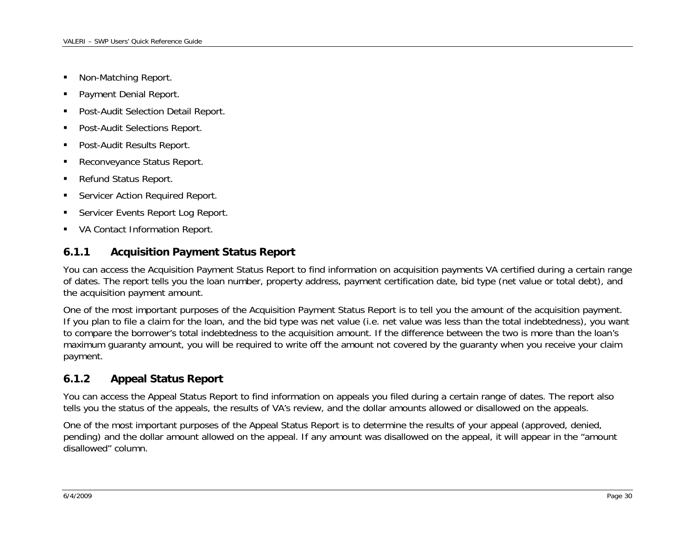- <span id="page-29-0"></span>• Non-Matching Report.
- Payment Denial Report.
- Post-Audit Selection Detail Report.
- Post-Audit Selections Report.
- Post-Audit Results Report.
- Reconveyance Status Report.
- Refund Status Report.
- Servicer Action Required Report.
- Servicer Events Report Log Report.
- **VA Contact Information Report.**

### **6.1.1Acquisition Payment Status Report**

You can access the Acquisition Payment Status Report to find information on acquisition payments VA certified during a certain range of dates. The report tells you the loan number, property address, payment certification date, bid type (net value or total debt), and the acquisition payment amount.

One of the most important purposes of the Acquisition Payment Status Report is to tell you the amount of the acquisition payment. If you plan to file a claim for the loan, and the bid type was net value (i.e. net value was less than the total indebtedness), you want to compare the borrower's total indebtedness to the acquisition amount. If the difference between the two is more than the loan's maximum guaranty amount, you will be required to write off the amount not covered by the guaranty when you receive your claim payment.

### **6.1.2Appeal Status Report**

You can access the Appeal Status Report to find information on appeals you filed during a certain range of dates. The report also tells you the status of the appeals, the results of VA's review, and the dollar amounts allowed or disallowed on the appeals.

One of the most important purposes of the Appeal Status Report is to determine the results of your appeal (approved, denied, pending) and the dollar amount allowed on the appeal. If any amount was disallowed on the appeal, it will appear in the "amount disallowed" column.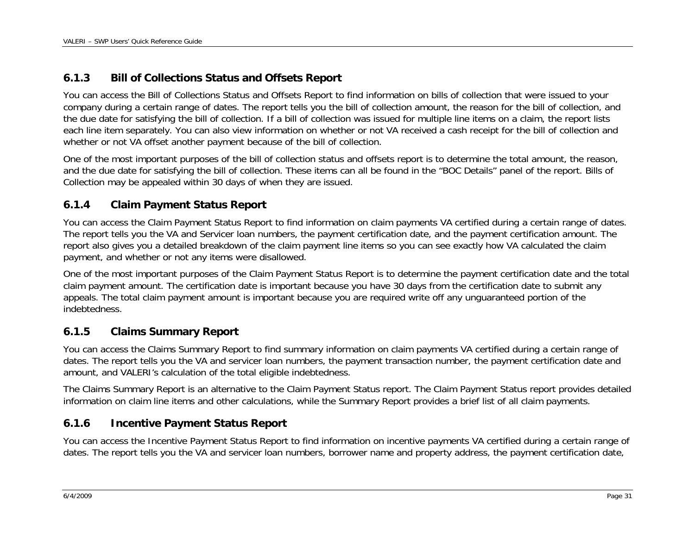### <span id="page-30-0"></span>**6.1.3Bill of Collections Status and Offsets Report**

You can access the Bill of Collections Status and Offsets Report to find information on bills of collection that were issued to your company during a certain range of dates. The report tells you the bill of collection amount, the reason for the bill of collection, and the due date for satisfying the bill of collection. If a bill of collection was issued for multiple line items on a claim, the report lists each line item separately. You can also view information on whether or not VA received a cash receipt for the bill of collection and whether or not VA offset another payment because of the bill of collection.

One of the most important purposes of the bill of collection status and offsets report is to determine the total amount, the reason, and the due date for satisfying the bill of collection. These items can all be found in the "BOC Details" panel of the report. Bills of Collection may be appealed within 30 days of when they are issued.

### **6.1.4Claim Payment Status Report**

You can access the Claim Payment Status Report to find information on claim payments VA certified during a certain range of dates. The report tells you the VA and Servicer loan numbers, the payment certification date, and the payment certification amount. The report also gives you a detailed breakdown of the claim payment line items so you can see exactly how VA calculated the claim payment, and whether or not any items were disallowed.

One of the most important purposes of the Claim Payment Status Report is to determine the payment certification date and the total claim payment amount. The certification date is important because you have 30 days from the certification date to submit any appeals. The total claim payment amount is important because you are required write off any unguaranteed portion of the indebtedness.

### **6.1.5Claims Summary Report**

You can access the Claims Summary Report to find summary information on claim payments VA certified during a certain range of dates. The report tells you the VA and servicer loan numbers, the payment transaction number, the payment certification date and amount, and VALERI's calculation of the total eligible indebtedness.

The Claims Summary Report is an alternative to the Claim Payment Status report. The Claim Payment Status report provides detailed information on claim line items and other calculations, while the Summary Report provides a brief list of all claim payments.

### **6.1.6Incentive Payment Status Report**

You can access the Incentive Payment Status Report to find information on incentive payments VA certified during a certain range of dates. The report tells you the VA and servicer loan numbers, borrower name and property address, the payment certification date,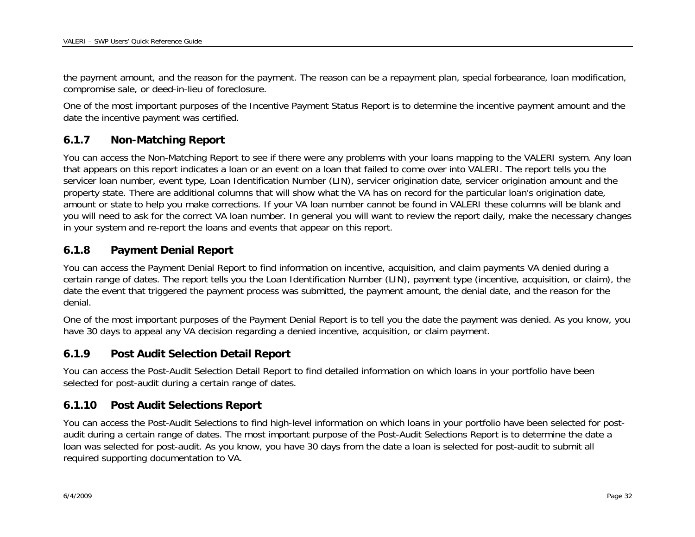<span id="page-31-0"></span>the payment amount, and the reason for the payment. The reason can be a repayment plan, special forbearance, loan modification, compromise sale, or deed-in-lieu of foreclosure.

One of the most important purposes of the Incentive Payment Status Report is to determine the incentive payment amount and the date the incentive payment was certified.

### **6.1.7Non-Matching Report**

You can access the Non-Matching Report to see if there were any problems with your loans mapping to the VALERI system. Any loan that appears on this report indicates a loan or an event on a loan that failed to come over into VALERI. The report tells you the servicer loan number, event type, Loan Identification Number (LIN), servicer origination date, servicer origination amount and the property state. There are additional columns that will show what the VA has on record for the particular loan's origination date, amount or state to help you make corrections. If your VA loan number cannot be found in VALERI these columns will be blank and you will need to ask for the correct VA loan number. In general you will want to review the report daily, make the necessary changes in your system and re-report the loans and events that appear on this report.

### **6.1.8Payment Denial Report**

You can access the Payment Denial Report to find information on incentive, acquisition, and claim payments VA denied during a certain range of dates. The report tells you the Loan Identification Number (LIN), payment type (incentive, acquisition, or claim), the date the event that triggered the payment process was submitted, the payment amount, the denial date, and the reason for the denial.

One of the most important purposes of the Payment Denial Report is to tell you the date the payment was denied. As you know, you have 30 days to appeal any VA decision regarding a denied incentive, acquisition, or claim payment.

### **6.1.9Post Audit Selection Detail Report**

You can access the Post-Audit Selection Detail Report to find detailed information on which loans in your portfolio have been selected for post-audit during a certain range of dates.

### **6.1.10Post Audit Selections Report**

You can access the Post-Audit Selections to find high-level information on which loans in your portfolio have been selected for postaudit during a certain range of dates. The most important purpose of the Post-Audit Selections Report is to determine the date a loan was selected for post-audit. As you know, you have 30 days from the date a loan is selected for post-audit to submit all required supporting documentation to VA.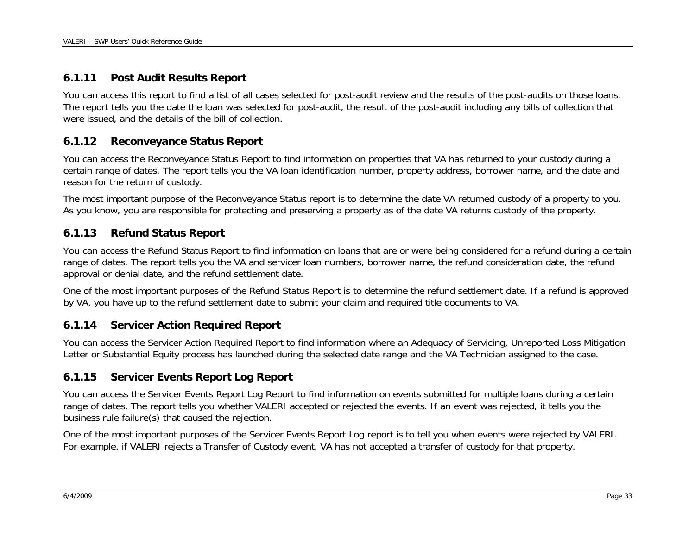### <span id="page-32-0"></span>**6.1.11Post Audit Results Report**

You can access this report to find a list of all cases selected for post-audit review and the results of the post-audits on those loans. The report tells you the date the loan was selected for post-audit, the result of the post-audit including any bills of collection that were issued, and the details of the bill of collection.

### **6.1.12Reconveyance Status Report**

You can access the Reconveyance Status Report to find information on properties that VA has returned to your custody during a certain range of dates. The report tells you the VA loan identification number, property address, borrower name, and the date and reason for the return of custody.

The most important purpose of the Reconveyance Status report is to determine the date VA returned custody of a property to you. As you know, you are responsible for protecting and preserving a property as of the date VA returns custody of the property.

### **6.1.13Refund Status Report**

You can access the Refund Status Report to find information on loans that are or were being considered for a refund during a certain range of dates. The report tells you the VA and servicer loan numbers, borrower name, the refund consideration date, the refund approval or denial date, and the refund settlement date.

One of the most important purposes of the Refund Status Report is to determine the refund settlement date. If a refund is approved by VA, you have up to the refund settlement date to submit your claim and required title documents to VA.

### **6.1.14Servicer Action Required Report**

You can access the Servicer Action Required Report to find information where an Adequacy of Servicing, Unreported Loss Mitigation Letter or Substantial Equity process has launched during the selected date range and the VA Technician assigned to the case.

### **6.1.15Servicer Events Report Log Report**

You can access the Servicer Events Report Log Report to find information on events submitted for multiple loans during a certain range of dates. The report tells you whether VALERI accepted or rejected the events. If an event was rejected, it tells you the business rule failure(s) that caused the rejection.

One of the most important purposes of the Servicer Events Report Log report is to tell you when events were rejected by VALERI. For example, if VALERI rejects a Transfer of Custody event, VA has not accepted a transfer of custody for that property.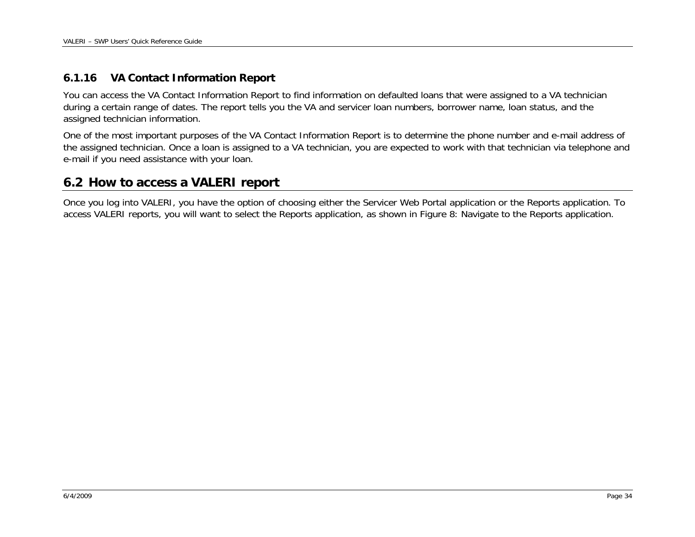#### <span id="page-33-0"></span>**6.1.16VA Contact Information Report**

You can access the VA Contact Information Report to find information on defaulted loans that were assigned to a VA technician during a certain range of dates. The report tells you the VA and servicer loan numbers, borrower name, loan status, and the assigned technician information.

One of the most important purposes of the VA Contact Information Report is to determine the phone number and e-mail address of the assigned technician. Once a loan is assigned to a VA technician, you are expected to work with that technician via telephone and e-mail if you need assistance with your loan.

# **6.2 How to access a VALERI report**

Once you log into VALERI, you have the option of choosing either the Servicer Web Portal application or the Reports application. To access VALERI reports, you will want to select the Reports application, as shown in [Figure 8: Navigate to the Reports application](#page-34-1).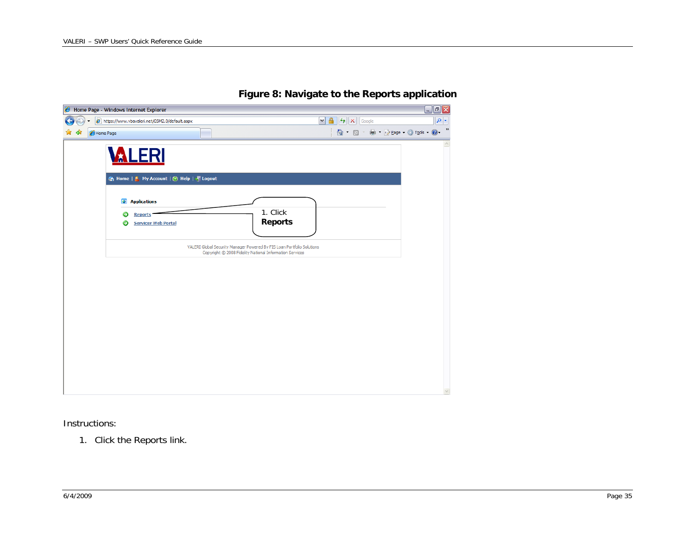<span id="page-34-1"></span><span id="page-34-0"></span>

| Home Page - Windows Internet Explorer                                                                                                                             |                                                                                                                                                                                                                                                                                                                                                     | $\blacksquare$ e $\mathsf{X}$ |
|-------------------------------------------------------------------------------------------------------------------------------------------------------------------|-----------------------------------------------------------------------------------------------------------------------------------------------------------------------------------------------------------------------------------------------------------------------------------------------------------------------------------------------------|-------------------------------|
| https://www.vbavaleri.net/GSM2.0/default.aspx                                                                                                                     | $\mathbf{a}$<br>$+$ $\times$<br>$\vee$<br>Google                                                                                                                                                                                                                                                                                                    | - م                           |
| Home Page                                                                                                                                                         | $\begin{picture}(20,20) \put(0,0){\line(1,0){10}} \put(15,0){\line(1,0){10}} \put(15,0){\line(1,0){10}} \put(15,0){\line(1,0){10}} \put(15,0){\line(1,0){10}} \put(15,0){\line(1,0){10}} \put(15,0){\line(1,0){10}} \put(15,0){\line(1,0){10}} \put(15,0){\line(1,0){10}} \put(15,0){\line(1,0){10}} \put(15,0){\line(1,0){10}} \put(15,0){\line(1$ | $\gg$<br>A Page + © Tools + ⊙ |
| <b>VALERI</b>                                                                                                                                                     |                                                                                                                                                                                                                                                                                                                                                     |                               |
| n Home   St My Account   ⊘ Help   T Logout<br><b>Applications</b><br>$\bullet$<br>1. Click<br><b>Reports</b><br><b>Reports</b><br><b>Servicer Web Portal</b><br>Э |                                                                                                                                                                                                                                                                                                                                                     |                               |
| VALERI Global Security Manager Powered By FIS Loan Portfolio Solutions<br>Copyright © 2008 Fidelity National Information Services                                 |                                                                                                                                                                                                                                                                                                                                                     |                               |
|                                                                                                                                                                   |                                                                                                                                                                                                                                                                                                                                                     |                               |
|                                                                                                                                                                   |                                                                                                                                                                                                                                                                                                                                                     |                               |
|                                                                                                                                                                   |                                                                                                                                                                                                                                                                                                                                                     |                               |
|                                                                                                                                                                   |                                                                                                                                                                                                                                                                                                                                                     |                               |

## **Figure 8: Navigate to the Reports application**

Instructions:

1. Click the Reports link.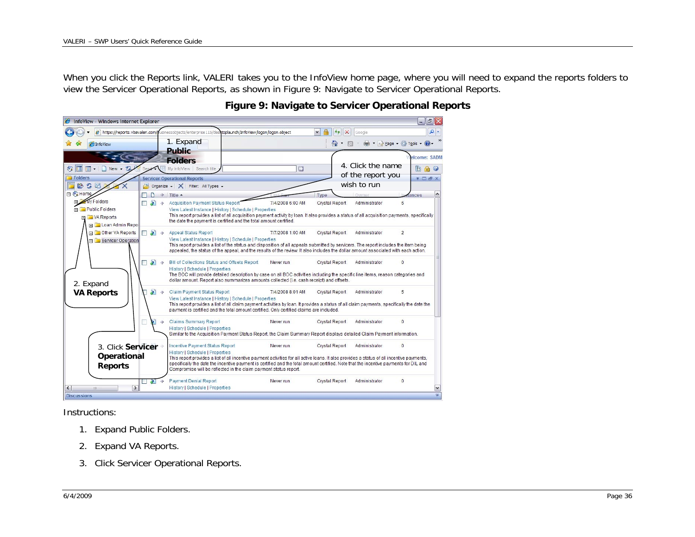<span id="page-35-0"></span>When you click the Reports link, VALERI takes you to the InfoView home page, where you will need to expand the reports folders to view the Servicer Operational Reports, as shown in [Figure 9: Navigate to Servicer Operational Reports](#page-35-1).

<span id="page-35-1"></span>

## **Figure 9: Navigate to Servicer Operational Reports**

Instructions:

- 1. Expand Public Folders.
- 2. Expand VA Reports.
- 3. Click Servicer Operational Reports.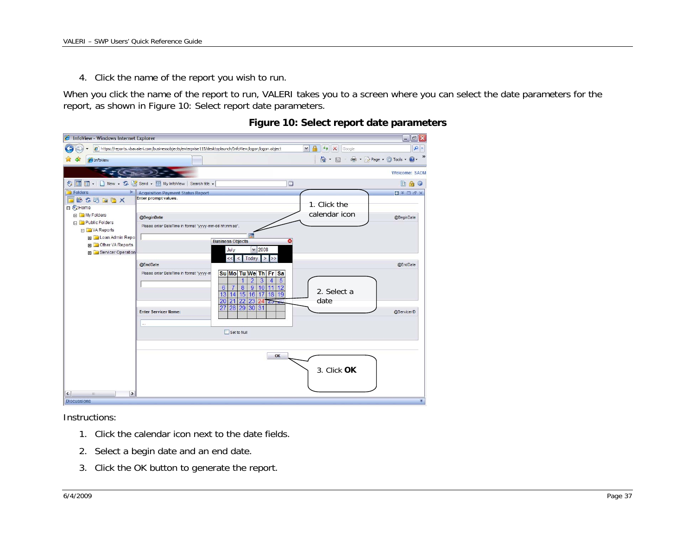<span id="page-36-0"></span>4. Click the name of the report you wish to run.

When you click the name of the report to run, VALERI takes you to a screen where you can select the date parameters for the report, as shown in [Figure 10: Select report date parameters](#page-36-1).

<span id="page-36-1"></span>

| InfoView - Windows Internet Explorer                |                                                                                                       |                                                                            |                                                  | $  \sqrt{2}$ $\times$                                                                               |
|-----------------------------------------------------|-------------------------------------------------------------------------------------------------------|----------------------------------------------------------------------------|--------------------------------------------------|-----------------------------------------------------------------------------------------------------|
|                                                     | https://reports.vbavaleri.com/businessobjects/enterprise115/desktoplaunch/InfoView/logon/logon.object |                                                                            | $\mathbf{A}$<br>$\vee$<br>$+$ $\times$<br>Google | $\alpha$                                                                                            |
| 4 InfoView                                          |                                                                                                       |                                                                            | $\bigcap$ . $\Box$                               | »<br>$\overrightarrow{m}$ $\overrightarrow{m}$ Page $\overrightarrow{m}$ Tools $\overrightarrow{m}$ |
|                                                     |                                                                                                       |                                                                            |                                                  | <b>Welcome: SADM</b>                                                                                |
| €<br>F                                              | To - New - S & Send - H My infoView Search title -                                                    | D                                                                          |                                                  | Bao                                                                                                 |
| Folders<br>$ +$                                     | <b>Acquisition Payment Status Report</b>                                                              |                                                                            |                                                  | <b>DFDFX</b>                                                                                        |
| BS因自己X                                              | Enter prompt values.                                                                                  |                                                                            | 1. Click the                                     |                                                                                                     |
| 日 CHome                                             |                                                                                                       |                                                                            |                                                  |                                                                                                     |
| <b>ED</b> My Folders                                | @BeginDate                                                                                            |                                                                            | calendar icon                                    | @BeginDate                                                                                          |
| Public Folders                                      | Please enter DateTime in format "yyyy-mm-dd hh:mm:ss".                                                |                                                                            |                                                  |                                                                                                     |
| 日 VA Reports<br>El Loan Admin Repo                  |                                                                                                       |                                                                            |                                                  |                                                                                                     |
| <b>El</b> Other VA Reports                          |                                                                                                       | <b>Business Objects</b>                                                    |                                                  |                                                                                                     |
| File Servicer Operation                             |                                                                                                       | $\times$ 2008<br>July                                                      |                                                  |                                                                                                     |
|                                                     |                                                                                                       | Today<br>$\geq$                                                            |                                                  |                                                                                                     |
|                                                     | @EndDate                                                                                              |                                                                            |                                                  | @EndDate                                                                                            |
|                                                     | Please enter DateTime in format "yyyy-m                                                               | Su Mo Tu We Th Fr Sa                                                       |                                                  |                                                                                                     |
|                                                     |                                                                                                       | $\overline{3}$<br>5<br>$\overline{2}$<br>$\overline{4}$<br>1               |                                                  |                                                                                                     |
|                                                     |                                                                                                       | $\overline{8}$<br> 9 <br>10 11<br>12<br>6<br>15 16 17<br>18 19<br>13<br>14 | 2. Select a                                      |                                                                                                     |
|                                                     |                                                                                                       | 22 23 <br>20<br>21<br>24725                                                | date                                             |                                                                                                     |
|                                                     |                                                                                                       | 28 29 30 31<br>27                                                          |                                                  |                                                                                                     |
|                                                     | <b>Enter Servicer Name:</b>                                                                           |                                                                            |                                                  | @ServicerID                                                                                         |
|                                                     |                                                                                                       |                                                                            |                                                  |                                                                                                     |
|                                                     |                                                                                                       | Set to Null                                                                |                                                  |                                                                                                     |
|                                                     |                                                                                                       |                                                                            |                                                  |                                                                                                     |
|                                                     |                                                                                                       |                                                                            |                                                  |                                                                                                     |
|                                                     |                                                                                                       | OK                                                                         |                                                  |                                                                                                     |
|                                                     |                                                                                                       |                                                                            |                                                  |                                                                                                     |
|                                                     |                                                                                                       |                                                                            | 3. Click OK                                      |                                                                                                     |
|                                                     |                                                                                                       |                                                                            |                                                  |                                                                                                     |
| $\rightarrow$<br>$\left\langle \right\rangle$<br>mi |                                                                                                       |                                                                            |                                                  |                                                                                                     |
| <b>Discussions</b>                                  |                                                                                                       |                                                                            |                                                  | 不                                                                                                   |

## **Figure 10: Select report date parameters**

Instructions:

- 1. Click the calendar icon next to the date fields.
- 2. Select a begin date and an end date.
- 3. Click the OK button to generate the report.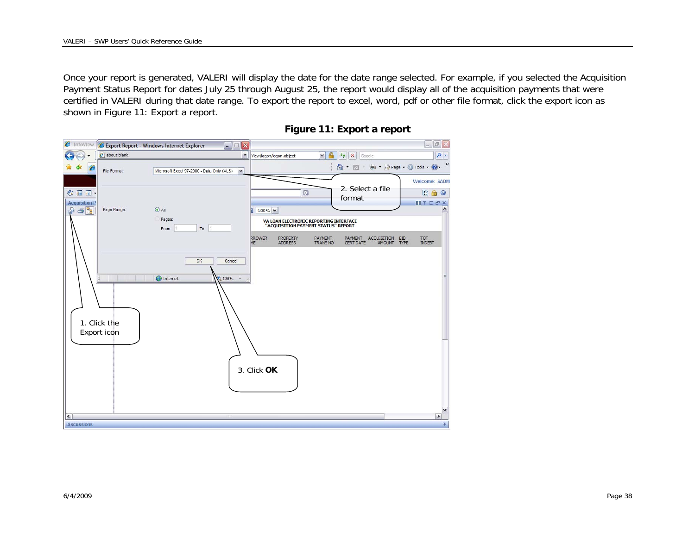<span id="page-37-0"></span>Once your report is generated, VALERI will display the date for the date range selected. For example, if you selected the Acquisition Payment Status Report for dates July 25 through August 25, the report would display all of the acquisition payments that were certified in VALERI during that date range. To export the report to excel, word, pdf or other file format, click the export icon as shown in [Figure 11: Export a report](#page-37-1).

<span id="page-37-1"></span>

| <b>B</b> InfoView                 |                                   | Export Report - Windows Internet Explorer<br>$\begin{array}{c c c c c} \hline \multicolumn{1}{ c }{\phantom{ }} & \multicolumn{1}{ c }{\phantom{ }} \multicolumn{1}{ c }{\phantom{ }} \multicolumn{1}{ c }{\phantom{ }} \multicolumn{1}{ c }{\phantom{ }} \multicolumn{1}{ c }{\phantom{ }} \multicolumn{1}{ c }{\phantom{ }} \multicolumn{1}{ c }{\phantom{ }} \multicolumn{1}{ c }{\phantom{ }} \multicolumn{1}{ c }{\phantom{ }} \multicolumn{1}{ c }{\phantom{ }} \multicolumn{1}{ c }{\phantom{ }} \multicolumn{1}{ c$ |                                                                 |                                                                               |                                                  | $ P'$ $X$                          |
|-----------------------------------|-----------------------------------|-----------------------------------------------------------------------------------------------------------------------------------------------------------------------------------------------------------------------------------------------------------------------------------------------------------------------------------------------------------------------------------------------------------------------------------------------------------------------------------------------------------------------------|-----------------------------------------------------------------|-------------------------------------------------------------------------------|--------------------------------------------------|------------------------------------|
|                                   | $\epsilon$ about:blank            | $\mathbf{v}$                                                                                                                                                                                                                                                                                                                                                                                                                                                                                                                | View/logon/logon.object                                         | $\vee$                                                                        | $+$ $\times$<br>Google                           | $\boxed{\circ}$                    |
| $\epsilon$                        | File Format:                      | Microsoft Excel 97-2000 - Data Only (XLS)<br>$\vee$                                                                                                                                                                                                                                                                                                                                                                                                                                                                         |                                                                 |                                                                               | △ · 同 · 曲 · Page · ③ Tools · ②                   | »                                  |
| ◆画画                               |                                   |                                                                                                                                                                                                                                                                                                                                                                                                                                                                                                                             |                                                                 | $\Box$                                                                        | 2. Select a file                                 | <b>Welcome: SADM</b><br><b>Bao</b> |
| <b>Acquisition P</b><br>$A$ 3 $E$ | Page Range:                       | $O$ All                                                                                                                                                                                                                                                                                                                                                                                                                                                                                                                     | 100% V<br>h                                                     |                                                                               | format                                           | 日不口子×                              |
|                                   |                                   | Pages:<br>To: $ 1$<br>From:                                                                                                                                                                                                                                                                                                                                                                                                                                                                                                 |                                                                 | VA LOAN ELECTRONIC REPORTING INTERFACE<br>"ACQUISITION PAYMENT STATUS" REPORT |                                                  |                                    |
|                                   |                                   |                                                                                                                                                                                                                                                                                                                                                                                                                                                                                                                             | <b>RROWER</b><br><b>PROPERTY</b><br><b>ADDRESS</b><br><b>ME</b> | PAYMENT<br><b>TRANS NO</b>                                                    | PAYMENT ACQUISITION BID<br>CERT DATE AMOUNT TYPE | TOT<br>INDEBT                      |
|                                   | IП<br>1. Click the<br>Export icon | OK<br>Cancel<br>nternet<br>$100\%$ $\star$                                                                                                                                                                                                                                                                                                                                                                                                                                                                                  | 3. Click OK                                                     |                                                                               |                                                  | ⋣                                  |
| $\vert \cdot \vert$               |                                   | Ш.                                                                                                                                                                                                                                                                                                                                                                                                                                                                                                                          |                                                                 |                                                                               |                                                  | v<br>$\rightarrow$                 |
| <b>Discussions</b>                |                                   |                                                                                                                                                                                                                                                                                                                                                                                                                                                                                                                             |                                                                 |                                                                               |                                                  | 不                                  |

## **Figure 11: Export a report**